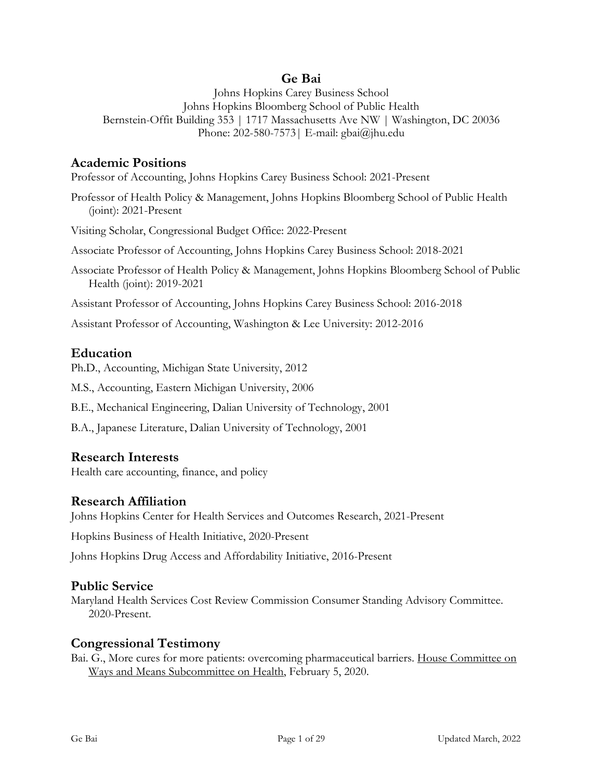## **Ge Bai**

Johns Hopkins Carey Business School Johns Hopkins Bloomberg School of Public Health Bernstein-Offit Building 353 | 1717 Massachusetts Ave NW | Washington, DC 20036 Phone: 202-580-7573| E-mail: gbai@jhu.edu

## **Academic Positions**

Professor of Accounting, Johns Hopkins Carey Business School: 2021-Present

Professor of Health Policy & Management, Johns Hopkins Bloomberg School of Public Health (joint): 2021-Present

Visiting Scholar, Congressional Budget Office: 2022-Present

Associate Professor of Accounting, Johns Hopkins Carey Business School: 2018-2021

Associate Professor of Health Policy & Management, Johns Hopkins Bloomberg School of Public Health (joint): 2019-2021

Assistant Professor of Accounting, Johns Hopkins Carey Business School: 2016-2018

Assistant Professor of Accounting, Washington & Lee University: 2012-2016

## **Education**

Ph.D., Accounting, Michigan State University, 2012

M.S., Accounting, Eastern Michigan University, 2006

B.E., Mechanical Engineering, Dalian University of Technology, 2001

B.A., Japanese Literature, Dalian University of Technology, 2001

## **Research Interests**

Health care accounting, finance, and policy

## **Research Affiliation**

Johns Hopkins Center for Health Services and Outcomes Research, 2021-Present

Hopkins Business of Health Initiative, 2020-Present

Johns Hopkins Drug Access and Affordability Initiative, 2016-Present

## **Public Service**

Maryland Health Services Cost Review Commission Consumer Standing Advisory Committee. 2020-Present.

## **Congressional Testimony**

Bai. G., More cures for more patients: overcoming pharmaceutical barriers. House Committee on Ways and Means Subcommittee on Health, February 5, 2020.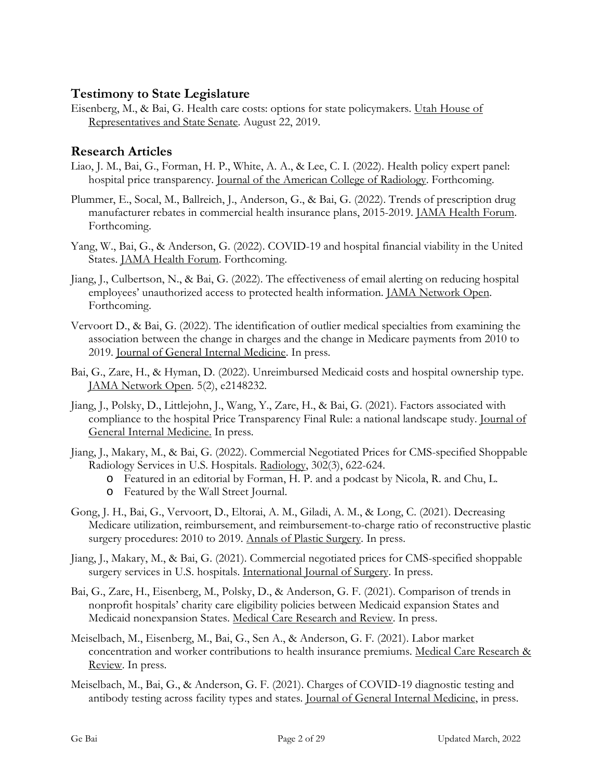# **Testimony to State Legislature**

Eisenberg, M., & Bai, G. Health care costs: options for state policymakers. Utah House of Representatives and State Senate. August 22, 2019.

# **Research Articles**

- Liao, J. M., Bai, G., Forman, H. P., White, A. A., & Lee, C. I. (2022). Health policy expert panel: hospital price transparency. Journal of the American College of Radiology. Forthcoming.
- Plummer, E., Socal, M., Ballreich, J., Anderson, G., & Bai, G. (2022). Trends of prescription drug manufacturer rebates in commercial health insurance plans, 2015-2019. JAMA Health Forum. Forthcoming.
- Yang, W., Bai, G., & Anderson, G. (2022). COVID-19 and hospital financial viability in the United States. JAMA Health Forum. Forthcoming.
- Jiang, J., Culbertson, N., & Bai, G. (2022). The effectiveness of email alerting on reducing hospital employees' unauthorized access to protected health information. JAMA Network Open. Forthcoming.
- Vervoort D., & Bai, G. (2022). The identification of outlier medical specialties from examining the association between the change in charges and the change in Medicare payments from 2010 to 2019. Journal of General Internal Medicine. In press.
- Bai, G., Zare, H., & Hyman, D. (2022). Unreimbursed Medicaid costs and hospital ownership type. JAMA Network Open. 5(2), e2148232.
- Jiang, J., Polsky, D., Littlejohn, J., Wang, Y., Zare, H., & Bai, G. (2021). Factors associated with compliance to the hospital Price Transparency Final Rule: a national landscape study. Journal of General Internal Medicine. In press.
- Jiang, J., Makary, M., & Bai, G. (2022). Commercial Negotiated Prices for CMS-specified Shoppable Radiology Services in U.S. Hospitals. Radiology, 302(3), 622-624.
	- o Featured in an editorial by Forman, H. P. and a podcast by Nicola, R. and Chu, L.
	- o Featured by the Wall Street Journal.
- Gong, J. H., Bai, G., Vervoort, D., Eltorai, A. M., Giladi, A. M., & Long, C. (2021). Decreasing Medicare utilization, reimbursement, and reimbursement-to-charge ratio of reconstructive plastic surgery procedures: 2010 to 2019. Annals of Plastic Surgery. In press.
- Jiang, J., Makary, M., & Bai, G. (2021). Commercial negotiated prices for CMS-specified shoppable surgery services in U.S. hospitals. International Journal of Surgery. In press.
- Bai, G., Zare, H., Eisenberg, M., Polsky, D., & Anderson, G. F. (2021). Comparison of trends in nonprofit hospitals' charity care eligibility policies between Medicaid expansion States and Medicaid nonexpansion States. Medical Care Research and Review. In press.
- Meiselbach, M., Eisenberg, M., Bai, G., Sen A., & Anderson, G. F. (2021). Labor market concentration and worker contributions to health insurance premiums. Medical Care Research & Review. In press.
- Meiselbach, M., Bai, G., & Anderson, G. F. (2021). Charges of COVID-19 diagnostic testing and antibody testing across facility types and states. Journal of General Internal Medicine, in press.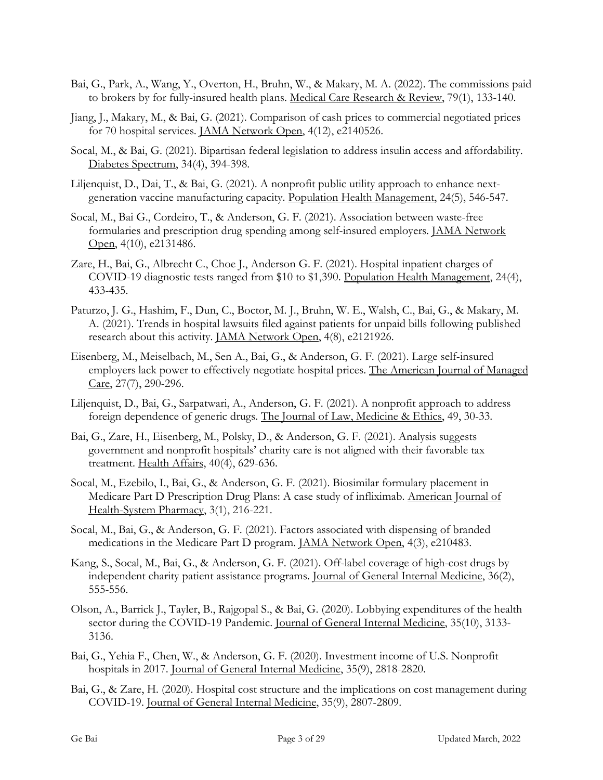- Bai, G., Park, A., Wang, Y., Overton, H., Bruhn, W., & Makary, M. A. (2022). The commissions paid to brokers by for fully-insured health plans. Medical Care Research & Review, 79(1), 133-140.
- Jiang, J., Makary, M., & Bai, G. (2021). Comparison of cash prices to commercial negotiated prices for 70 hospital services. JAMA Network Open, 4(12), e2140526.
- Socal, M., & Bai, G. (2021). Bipartisan federal legislation to address insulin access and affordability. Diabetes Spectrum, 34(4), 394-398.
- Liljenquist, D., Dai, T., & Bai, G. (2021). A nonprofit public utility approach to enhance nextgeneration vaccine manufacturing capacity. Population Health Management, 24(5), 546-547.
- Socal, M., Bai G., Cordeiro, T., & Anderson, G. F. (2021). Association between waste-free formularies and prescription drug spending among self-insured employers. JAMA Network Open, 4(10), e2131486.
- Zare, H., Bai, G., Albrecht C., Choe J., Anderson G. F. (2021). Hospital inpatient charges of COVID-19 diagnostic tests ranged from \$10 to \$1,390. Population Health Management, 24(4), 433-435.
- Paturzo, J. G., Hashim, F., Dun, C., Boctor, M. J., Bruhn, W. E., Walsh, C., Bai, G., & Makary, M. A. (2021). Trends in hospital lawsuits filed against patients for unpaid bills following published research about this activity. JAMA Network Open, 4(8), e2121926.
- Eisenberg, M., Meiselbach, M., Sen A., Bai, G., & Anderson, G. F. (2021). Large self-insured employers lack power to effectively negotiate hospital prices. The American Journal of Managed Care, 27(7), 290-296.
- Liljenquist, D., Bai, G., Sarpatwari, A., Anderson, G. F. (2021). A nonprofit approach to address foreign dependence of generic drugs. The Journal of Law, Medicine & Ethics, 49, 30-33.
- Bai, G., Zare, H., Eisenberg, M., Polsky, D., & Anderson, G. F. (2021). Analysis suggests government and nonprofit hospitals' charity care is not aligned with their favorable tax treatment. Health Affairs, 40(4), 629-636.
- Socal, M., Ezebilo, I., Bai, G., & Anderson, G. F. (2021). Biosimilar formulary placement in Medicare Part D Prescription Drug Plans: A case study of infliximab. American Journal of Health-System Pharmacy, 3(1), 216-221.
- Socal, M., Bai, G., & Anderson, G. F. (2021). Factors associated with dispensing of branded medications in the Medicare Part D program. JAMA Network Open, 4(3), e210483.
- Kang, S., Socal, M., Bai, G., & Anderson, G. F. (2021). Off-label coverage of high-cost drugs by independent charity patient assistance programs. Journal of General Internal Medicine, 36(2), 555-556.
- Olson, A., Barrick J., Tayler, B., Rajgopal S., & Bai, G. (2020). Lobbying expenditures of the health sector during the COVID-19 Pandemic. Journal of General Internal Medicine, 35(10), 3133-3136.
- Bai, G., Yehia F., Chen, W., & Anderson, G. F. (2020). Investment income of U.S. Nonprofit hospitals in 2017. Journal of General Internal Medicine, 35(9), 2818-2820.
- Bai, G., & Zare, H. (2020). Hospital cost structure and the implications on cost management during COVID-19. Journal of General Internal Medicine, 35(9), 2807-2809.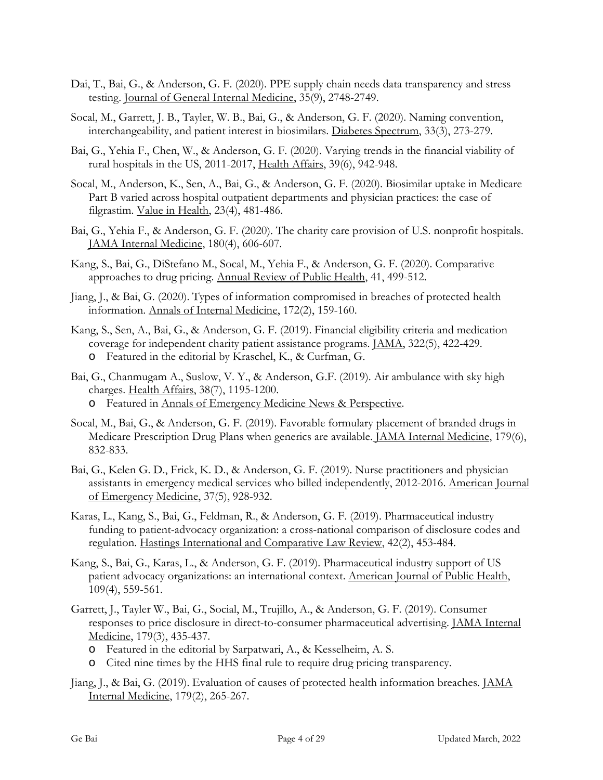- Dai, T., Bai, G., & Anderson, G. F. (2020). PPE supply chain needs data transparency and stress testing. Journal of General Internal Medicine, 35(9), 2748-2749.
- Socal, M., Garrett, J. B., Tayler, W. B., Bai, G., & Anderson, G. F. (2020). Naming convention, interchangeability, and patient interest in biosimilars. Diabetes Spectrum, 33(3), 273-279.
- Bai, G., Yehia F., Chen, W., & Anderson, G. F. (2020). Varying trends in the financial viability of rural hospitals in the US, 2011-2017, Health Affairs, 39(6), 942-948.
- Socal, M., Anderson, K., Sen, A., Bai, G., & Anderson, G. F. (2020). Biosimilar uptake in Medicare Part B varied across hospital outpatient departments and physician practices: the case of filgrastim. Value in Health, 23(4), 481-486.
- Bai, G., Yehia F., & Anderson, G. F. (2020). The charity care provision of U.S. nonprofit hospitals. JAMA Internal Medicine, 180(4), 606-607.
- Kang, S., Bai, G., DiStefano M., Socal, M., Yehia F., & Anderson, G. F. (2020). Comparative approaches to drug pricing. Annual Review of Public Health, 41, 499-512.
- Jiang, J., & Bai, G. (2020). Types of information compromised in breaches of protected health information. Annals of Internal Medicine, 172(2), 159-160.
- Kang, S., Sen, A., Bai, G., & Anderson, G. F. (2019). Financial eligibility criteria and medication coverage for independent charity patient assistance programs. JAMA, 322(5), 422-429. o Featured in the editorial by Kraschel, K., & Curfman, G.
- Bai, G., Chanmugam A., Suslow, V. Y., & Anderson, G.F. (2019). Air ambulance with sky high charges. Health Affairs, 38(7), 1195-1200. o Featured in Annals of Emergency Medicine News & Perspective.
- Socal, M., Bai, G., & Anderson, G. F. (2019). Favorable formulary placement of branded drugs in Medicare Prescription Drug Plans when generics are available. JAMA Internal Medicine, 179(6), 832-833.
- Bai, G., Kelen G. D., Frick, K. D., & Anderson, G. F. (2019). Nurse practitioners and physician assistants in emergency medical services who billed independently, 2012-2016. American Journal of Emergency Medicine, 37(5), 928-932.
- Karas, L., Kang, S., Bai, G., Feldman, R., & Anderson, G. F. (2019). Pharmaceutical industry funding to patient-advocacy organization: a cross-national comparison of disclosure codes and regulation. Hastings International and Comparative Law Review, 42(2), 453-484.
- Kang, S., Bai, G., Karas, L., & Anderson, G. F. (2019). Pharmaceutical industry support of US patient advocacy organizations: an international context. American Journal of Public Health, 109(4), 559-561.
- Garrett, J., Tayler W., Bai, G., Social, M., Trujillo, A., & Anderson, G. F. (2019). Consumer responses to price disclosure in direct-to-consumer pharmaceutical advertising. JAMA Internal Medicine, 179(3), 435-437.
	- o Featured in the editorial by Sarpatwari, A., & Kesselheim, A. S.
	- o Cited nine times by the HHS final rule to require drug pricing transparency.
- Jiang, J., & Bai, G. (2019). Evaluation of causes of protected health information breaches. JAMA Internal Medicine, 179(2), 265-267.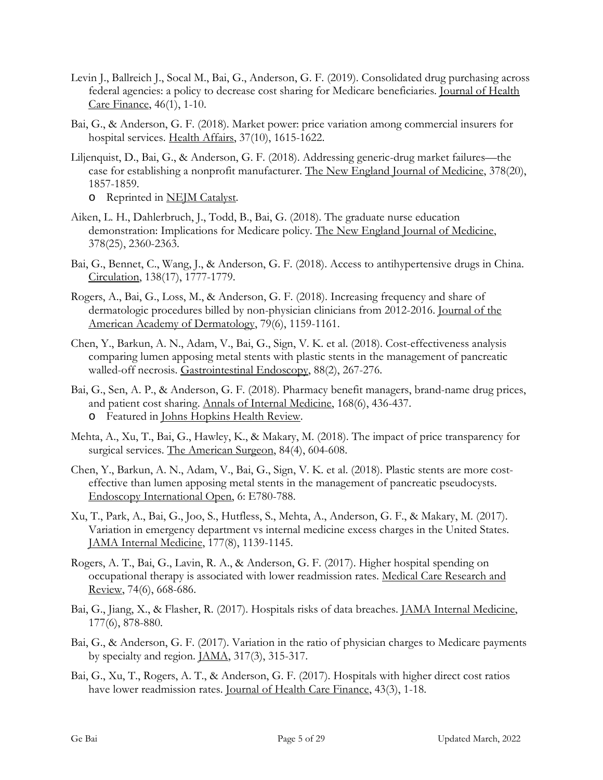- Levin J., Ballreich J., Socal M., Bai, G., Anderson, G. F. (2019). Consolidated drug purchasing across federal agencies: a policy to decrease cost sharing for Medicare beneficiaries. Journal of Health Care Finance, 46(1), 1-10.
- Bai, G., & Anderson, G. F. (2018). Market power: price variation among commercial insurers for hospital services. Health Affairs, 37(10), 1615-1622.
- Liljenquist, D., Bai, G., & Anderson, G. F. (2018). Addressing generic-drug market failures—the case for establishing a nonprofit manufacturer. The New England Journal of Medicine, 378(20), 1857-1859.
	- o Reprinted in NEJM Catalyst.
- Aiken, L. H., Dahlerbruch, J., Todd, B., Bai, G. (2018). The graduate nurse education demonstration: Implications for Medicare policy. The New England Journal of Medicine, 378(25), 2360-2363.
- Bai, G., Bennet, C., Wang, J., & Anderson, G. F. (2018). Access to antihypertensive drugs in China. Circulation, 138(17), 1777-1779.
- Rogers, A., Bai, G., Loss, M., & Anderson, G. F. (2018). Increasing frequency and share of dermatologic procedures billed by non-physician clinicians from 2012-2016. Journal of the American Academy of Dermatology, 79(6), 1159-1161.
- Chen, Y., Barkun, A. N., Adam, V., Bai, G., Sign, V. K. et al. (2018). Cost-effectiveness analysis comparing lumen apposing metal stents with plastic stents in the management of pancreatic walled-off necrosis. Gastrointestinal Endoscopy, 88(2), 267-276.
- Bai, G., Sen, A. P., & Anderson, G. F. (2018). Pharmacy benefit managers, brand-name drug prices, and patient cost sharing. Annals of Internal Medicine, 168(6), 436-437. o Featured in Johns Hopkins Health Review.
- Mehta, A., Xu, T., Bai, G., Hawley, K., & Makary, M. (2018). The impact of price transparency for surgical services. The American Surgeon, 84(4), 604-608.
- Chen, Y., Barkun, A. N., Adam, V., Bai, G., Sign, V. K. et al. (2018). Plastic stents are more costeffective than lumen apposing metal stents in the management of pancreatic pseudocysts. Endoscopy International Open, 6: E780-788.
- Xu, T., Park, A., Bai, G., Joo, S., Hutfless, S., Mehta, A., Anderson, G. F., & Makary, M. (2017). Variation in emergency department vs internal medicine excess charges in the United States. JAMA Internal Medicine, 177(8), 1139-1145.
- Rogers, A. T., Bai, G., Lavin, R. A., & Anderson, G. F. (2017). Higher hospital spending on occupational therapy is associated with lower readmission rates. Medical Care Research and Review, 74(6), 668-686.
- Bai, G., Jiang, X., & Flasher, R. (2017). Hospitals risks of data breaches. JAMA Internal Medicine, 177(6), 878-880.
- Bai, G., & Anderson, G. F. (2017). Variation in the ratio of physician charges to Medicare payments by specialty and region. JAMA, 317(3), 315-317.
- Bai, G., Xu, T., Rogers, A. T., & Anderson, G. F. (2017). Hospitals with higher direct cost ratios have lower readmission rates. Journal of Health Care Finance, 43(3), 1-18.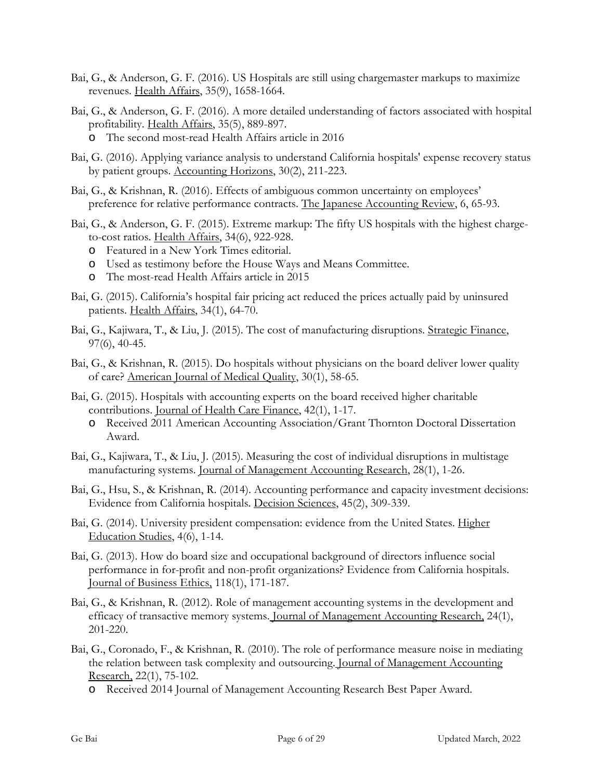- Bai, G., & Anderson, G. F. (2016). US Hospitals are still using chargemaster markups to maximize revenues. Health Affairs, 35(9), 1658-1664.
- Bai, G., & Anderson, G. F. (2016). [A more detailed understanding of factors associated with hospital](https://scholar.google.com/citations?view_op=view_citation&hl=en&user=E65jDPEAAAAJ&citation_for_view=E65jDPEAAAAJ:4TOpqqG69KYC)  [profitability.](https://scholar.google.com/citations?view_op=view_citation&hl=en&user=E65jDPEAAAAJ&citation_for_view=E65jDPEAAAAJ:4TOpqqG69KYC) Health Affairs, 35(5), 889-897.
	- o The second most-read Health Affairs article in 2016
- Bai, G. (2016). [Applying variance analysis to understand California hospitals' expense recovery status](http://www.aaajournals.org/doi/abs/10.2308/acch-51362)  [by patient groups.](http://www.aaajournals.org/doi/abs/10.2308/acch-51362) Accounting Horizons, 30(2), 211-223.
- Bai, G., & Krishnan, R. (2016). Effects of ambiguous common uncertainty on employees' preference for relative performance contracts. The Japanese Accounting Review, 6, 65-93.
- Bai, G., & Anderson, G. F. (2015). [Extreme markup: The fifty US hospitals with the highest charge](http://content.healthaffairs.org/content/34/6/922.short)[to-cost ratios.](http://content.healthaffairs.org/content/34/6/922.short) Health Affairs, 34(6), 922-928.
	- o Featured in a New York Times editorial.
	- o Used as testimony before the House Ways and Means Committee.
	- o The most-read Health Affairs article in 2015
- Bai, G. (2015). [California's hospital fair pricing act reduced the prices actually paid by uninsured](http://content.healthaffairs.org/content/34/1/64.short)  [patients.](http://content.healthaffairs.org/content/34/1/64.short) Health Affairs, 34(1), 64-70.
- Bai, G., Kajiwara, T., & Liu, J. (2015). The cost of manufacturing disruptions. Strategic Finance, 97(6), 40-45.
- Bai, G., & Krishnan, R. (2015). [Do hospitals without physicians on the board deliver lower quality](https://scholar.google.com/citations?view_op=view_citation&hl=en&user=E65jDPEAAAAJ&citation_for_view=E65jDPEAAAAJ:Tyk-4Ss8FVUC)  [of care?](https://scholar.google.com/citations?view_op=view_citation&hl=en&user=E65jDPEAAAAJ&citation_for_view=E65jDPEAAAAJ:Tyk-4Ss8FVUC) American Journal of Medical Quality, 30(1), 58-65.
- Bai, G. (2015). Hospitals with accounting experts on the board received higher charitable contributions. Journal of Health Care Finance, 42(1), 1-17.
	- o Received 2011 American Accounting Association/Grant Thornton Doctoral Dissertation Award.
- Bai, G., Kajiwara, T., & Liu, J. (2015). [Measuring the cost of individual disruptions in multistage](https://scholar.google.com/citations?view_op=view_citation&hl=en&user=E65jDPEAAAAJ&citation_for_view=E65jDPEAAAAJ:W7OEmFMy1HYC)  [manufacturing systems.](https://scholar.google.com/citations?view_op=view_citation&hl=en&user=E65jDPEAAAAJ&citation_for_view=E65jDPEAAAAJ:W7OEmFMy1HYC) Journal of Management Accounting Research, 28(1), 1-26.
- Bai, G., Hsu, S., & Krishnan, R. (2014). Accounting performance and capacity investment decisions: Evidence from California hospitals. Decision Sciences, 45(2), 309-339.
- Bai, G. (2014). University president compensation: evidence from the United States. Higher Education Studies, 4(6), 1-14.
- Bai, G. (2013). How do board size and occupational background of directors influence social performance in for-profit and non-profit organizations? Evidence from California hospitals. Journal of Business Ethics, 118(1), 171-187.
- Bai, G., & Krishnan, R. (2012). Role of management accounting systems in the development and efficacy of transactive memory systems. Journal of Management Accounting Research, 24(1), 201-220.
- Bai, G., Coronado, F., & Krishnan, R. (2010). The role of performance measure noise in mediating the relation between task complexity and outsourcing. Journal of Management Accounting Research, 22(1), 75-102.
	- o Received 2014 Journal of Management Accounting Research Best Paper Award.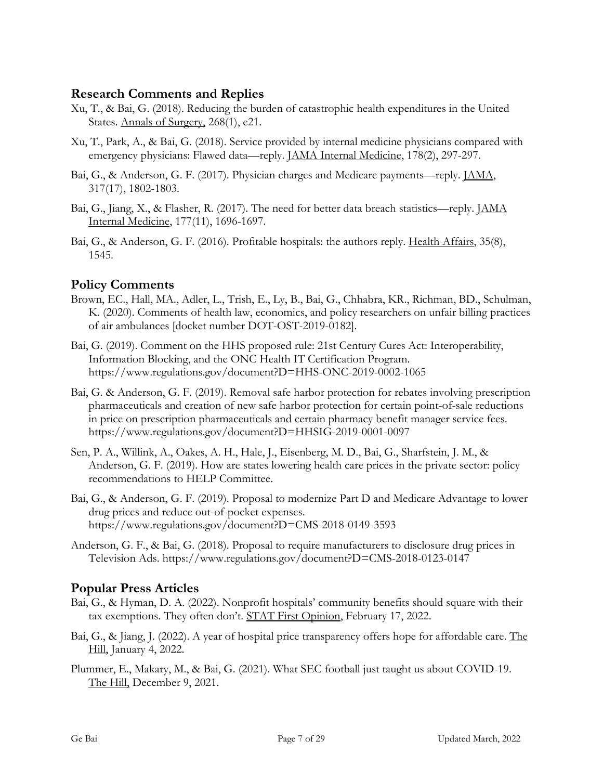## **Research Comments and Replies**

- Xu, T., & Bai, G. (2018). Reducing the burden of catastrophic health expenditures in the United States. Annals of Surgery, 268(1), e21.
- Xu, T., Park, A., & Bai, G. (2018). Service provided by internal medicine physicians compared with emergency physicians: Flawed data—reply. JAMA Internal Medicine, 178(2), 297-297.
- Bai, G., & Anderson, G. F. (2017). Physician charges and Medicare payments—reply. JAMA, 317(17), 1802-1803.
- Bai, G., Jiang, X., & Flasher, R. (2017). The need for better data breach statistics—reply. JAMA Internal Medicine, 177(11), 1696-1697.
- Bai, G., & Anderson, G. F. (2016). Profitable hospitals: the authors reply. Health Affairs, 35(8), 1545.

# **Policy Comments**

- Brown, EC., Hall, MA., Adler, L., Trish, E., Ly, B., Bai, G., Chhabra, KR., Richman, BD., Schulman, K. (2020). Comments of health law, economics, and policy researchers on unfair billing practices of air ambulances [docket number DOT-OST-2019-0182].
- Bai, G. (2019). Comment on the HHS proposed rule: 21st Century Cures Act: Interoperability, Information Blocking, and the ONC Health IT Certification Program. https://www.regulations.gov/document?D=HHS-ONC-2019-0002-1065
- Bai, G. & Anderson, G. F. (2019). Removal safe harbor protection for rebates involving prescription pharmaceuticals and creation of new safe harbor protection for certain point-of-sale reductions in price on prescription pharmaceuticals and certain pharmacy benefit manager service fees. https://www.regulations.gov/document?D=HHSIG-2019-0001-0097
- Sen, P. A., Willink, A., Oakes, A. H., Hale, J., Eisenberg, M. D., Bai, G., Sharfstein, J. M., & Anderson, G. F. (2019). How are states lowering health care prices in the private sector: policy recommendations to HELP Committee.
- Bai, G., & Anderson, G. F. (2019). Proposal to modernize Part D and Medicare Advantage to lower drug prices and reduce out-of-pocket expenses. https://www.regulations.gov/document?D=CMS-2018-0149-3593
- Anderson, G. F., & Bai, G. (2018). Proposal to require manufacturers to disclosure drug prices in Television Ads. https://www.regulations.gov/document?D=CMS-2018-0123-0147

# **Popular Press Articles**

- Bai, G., & Hyman, D. A. (2022). Nonprofit hospitals' community benefits should square with their tax exemptions. They often don't. STAT First Opinion, February 17, 2022.
- Bai, G., & Jiang, J. (2022). A year of hospital price transparency offers hope for affordable care. The Hill, January 4, 2022.
- Plummer, E., Makary, M., & Bai, G. (2021). What SEC football just taught us about COVID-19. The Hill, December 9, 2021.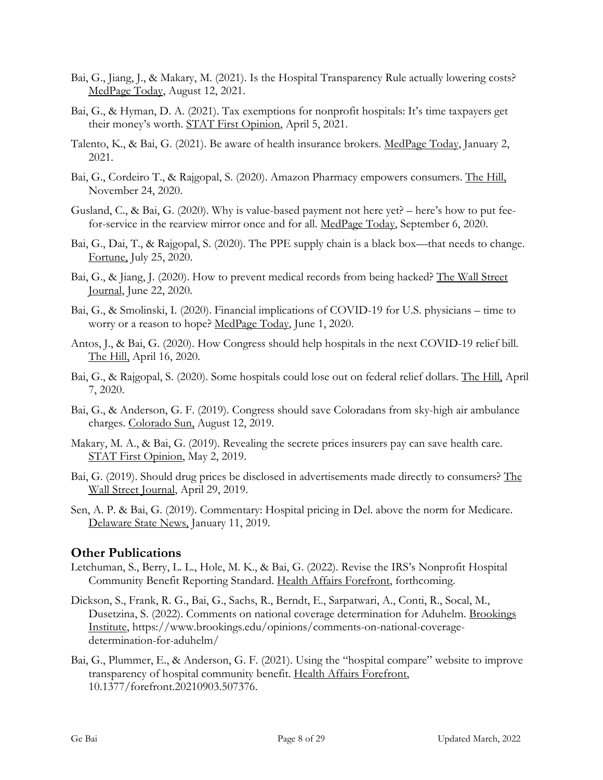- Bai, G., Jiang, J., & Makary, M. (2021). Is the Hospital Transparency Rule actually lowering costs? MedPage Today, August 12, 2021.
- Bai, G., & Hyman, D. A. (2021). Tax exemptions for nonprofit hospitals: It's time taxpayers get their money's worth. STAT First Opinion, April 5, 2021.
- Talento, K., & Bai, G. (2021). Be aware of health insurance brokers. MedPage Today, January 2, 2021.
- Bai, G., Cordeiro T., & Rajgopal, S. (2020). Amazon Pharmacy empowers consumers. The Hill, November 24, 2020.
- Gusland, C., & Bai, G. (2020). Why is value-based payment not here yet? here's how to put feefor-service in the rearview mirror once and for all. MedPage Today, September 6, 2020.
- Bai, G., Dai, T., & Rajgopal, S. (2020). The PPE supply chain is a black box—that needs to change. Fortune, July 25, 2020.
- Bai, G., & Jiang, J. (2020). How to prevent medical records from being hacked? The Wall Street Journal, June 22, 2020.
- Bai, G., & Smolinski, I. (2020). Financial implications of COVID-19 for U.S. physicians time to worry or a reason to hope? MedPage Today, June 1, 2020.
- Antos, J., & Bai, G. (2020). How Congress should help hospitals in the next COVID-19 relief bill. The Hill, April 16, 2020.
- Bai, G., & Rajgopal, S. (2020). Some hospitals could lose out on federal relief dollars. The Hill, April 7, 2020.
- Bai, G., & Anderson, G. F. (2019). Congress should save Coloradans from sky-high air ambulance charges. Colorado Sun, August 12, 2019.
- Makary, M. A., & Bai, G. (2019). Revealing the secrete prices insurers pay can save health care. STAT First Opinion, May 2, 2019.
- Bai, G. (2019). Should drug prices be disclosed in advertisements made directly to consumers? The Wall Street Journal, April 29, 2019.
- Sen, A. P. & Bai, G. (2019). Commentary: Hospital pricing in Del. above the norm for Medicare. Delaware State News, January 11, 2019.

## **Other Publications**

- Letchuman, S., Berry, L. L., Hole, M. K., & Bai, G. (2022). Revise the IRS's Nonprofit Hospital Community Benefit Reporting Standard. Health Affairs Forefront, forthcoming.
- Dickson, S., Frank, R. G., Bai, G., Sachs, R., Berndt, E., Sarpatwari, A., Conti, R., Socal, M., Dusetzina, S. (2022). Comments on national coverage determination for Aduhelm. Brookings Institute, https://www.brookings.edu/opinions/comments-on-national-coveragedetermination-for-aduhelm/
- Bai, G., Plummer, E., & Anderson, G. F. (2021). Using the "hospital compare" website to improve transparency of hospital community benefit. Health Affairs Forefront, 10.1377/forefront.20210903.507376.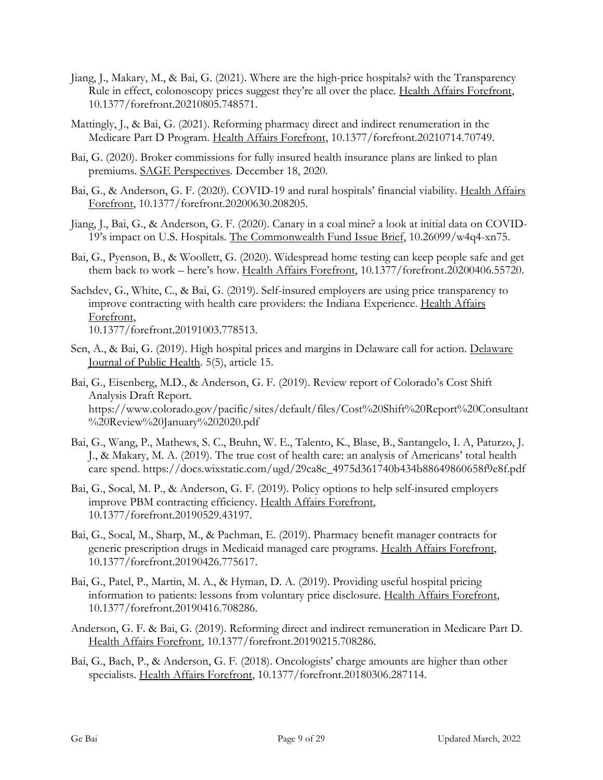- Jiang, J., Makary, M., & Bai, G. (2021). Where are the high-price hospitals? with the Transparency Rule in effect, colonoscopy prices suggest they're all over the place. Health Affairs Forefront, 10.1377/forefront.20210805.748571.
- Mattingly, J., & Bai, G. (2021). Reforming pharmacy direct and indirect renumeration in the Medicare Part D Program. Health Affairs Forefront, 10.1377/forefront.20210714.70749.
- Bai, G. (2020). Broker commissions for fully insured health insurance plans are linked to plan premiums. SAGE Perspectives. December 18, 2020.
- Bai, G., & Anderson, G. F. (2020). COVID-19 and rural hospitals' financial viability. Health Affairs Forefront, 10.1377/forefront.20200630.208205.
- Jiang, J., Bai, G., & Anderson, G. F. (2020). Canary in a coal mine? a look at initial data on COVID-19's impact on U.S. Hospitals. The Commonwealth Fund Issue Brief, 10.26099/w4q4-xn75.
- Bai, G., Pyenson, B., & Woollett, G. (2020). Widespread home testing can keep people safe and get them back to work – here's how. Health Affairs Forefront, 10.1377/forefront.20200406.55720.
- Sachdev, G., White, C., & Bai, G. (2019). Self-insured employers are using price transparency to improve contracting with health care providers: the Indiana Experience. Health Affairs Forefront, 10.1377/forefront.20191003.778513.
- Sen, A., & Bai, G. (2019). High hospital prices and margins in Delaware call for action. Delaware Journal of Public Health. 5(5), article 15.
- Bai, G., Eisenberg, M.D., & Anderson, G. F. (2019). Review report of Colorado's Cost Shift Analysis Draft Report. https://www.colorado.gov/pacific/sites/default/files/Cost%20Shift%20Report%20Consultant %20Review%20January%202020.pdf
- Bai, G., Wang, P., Mathews, S. C., Bruhn, W. E., Talento, K., Blase, B., Santangelo, I. A, Paturzo, J. J., & Makary, M. A. (2019). The true cost of health care: an analysis of Americans' total health care spend. https://docs.wixstatic.com/ugd/29ca8c\_4975d361740b434b88649860658f9e8f.pdf
- Bai, G., Socal, M. P., & Anderson, G. F. (2019). Policy options to help self-insured employers improve PBM contracting efficiency. Health Affairs Forefront, 10.1377/forefront.20190529.43197.
- Bai, G., Socal, M., Sharp, M., & Pachman, E. (2019). Pharmacy benefit manager contracts for generic prescription drugs in Medicaid managed care programs. Health Affairs Forefront, 10.1377/forefront.20190426.775617.
- Bai, G., Patel, P., Martin, M. A., & Hyman, D. A. (2019). Providing useful hospital pricing information to patients: lessons from voluntary price disclosure. Health Affairs Forefront, 10.1377/forefront.20190416.708286.
- Anderson, G. F. & Bai, G. (2019). Reforming direct and indirect remuneration in Medicare Part D. Health Affairs Forefront, 10.1377/forefront.20190215.708286.
- Bai, G., Bach, P., & Anderson, G. F. (2018). Oncologists' charge amounts are higher than other specialists. Health Affairs Forefront, 10.1377/forefront.20180306.287114.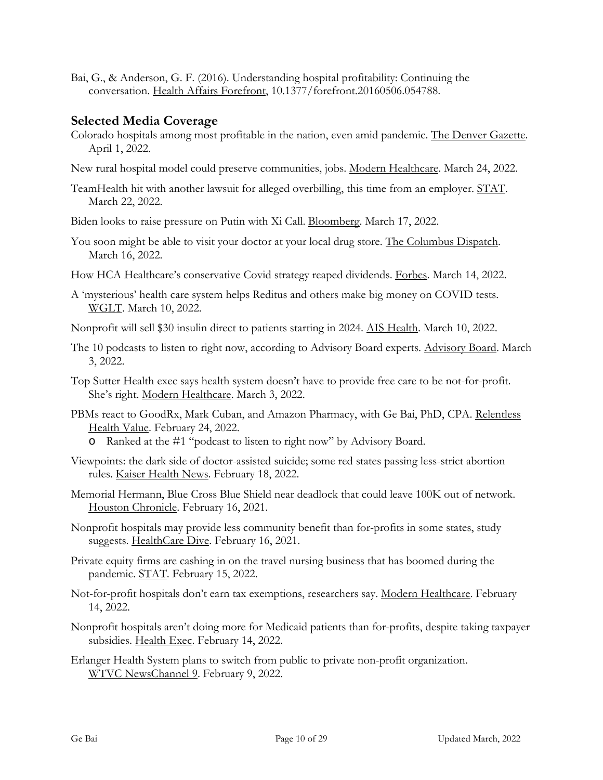Bai, G., & Anderson, G. F. (2016). Understanding hospital profitability: Continuing the conversation. Health Affairs Forefront, 10.1377/forefront.20160506.054788.

# **Selected Media Coverage**

- Colorado hospitals among most profitable in the nation, even amid pandemic. The Denver Gazette. April 1, 2022.
- New rural hospital model could preserve communities, jobs. Modern Healthcare. March 24, 2022.
- TeamHealth hit with another lawsuit for alleged overbilling, this time from an employer. STAT. March 22, 2022.
- Biden looks to raise pressure on Putin with Xi Call. Bloomberg. March 17, 2022.
- You soon might be able to visit your doctor at your local drug store. The Columbus Dispatch. March 16, 2022.
- How HCA Healthcare's conservative Covid strategy reaped dividends. Forbes. March 14, 2022.
- A 'mysterious' health care system helps Reditus and others make big money on COVID tests. WGLT. March 10, 2022.
- Nonprofit will sell \$30 insulin direct to patients starting in 2024. AIS Health. March 10, 2022.
- The 10 podcasts to listen to right now, according to Advisory Board experts. Advisory Board. March 3, 2022.
- Top Sutter Health exec says health system doesn't have to provide free care to be not-for-profit. She's right. Modern Healthcare. March 3, 2022.
- PBMs react to GoodRx, Mark Cuban, and Amazon Pharmacy, with Ge Bai, PhD, CPA. Relentless Health Value. February 24, 2022.
	- o Ranked at the #1 "podcast to listen to right now" by Advisory Board.
- Viewpoints: the dark side of doctor-assisted suicide; some red states passing less-strict abortion rules. Kaiser Health News. February 18, 2022.
- Memorial Hermann, Blue Cross Blue Shield near deadlock that could leave 100K out of network. Houston Chronicle. February 16, 2021.
- Nonprofit hospitals may provide less community benefit than for-profits in some states, study suggests. HealthCare Dive. February 16, 2021.
- Private equity firms are cashing in on the travel nursing business that has boomed during the pandemic. STAT. February 15, 2022.
- Not-for-profit hospitals don't earn tax exemptions, researchers say. Modern Healthcare. February 14, 2022.
- Nonprofit hospitals aren't doing more for Medicaid patients than for-profits, despite taking taxpayer subsidies. Health Exec. February 14, 2022.
- Erlanger Health System plans to switch from public to private non-profit organization. WTVC NewsChannel 9. February 9, 2022.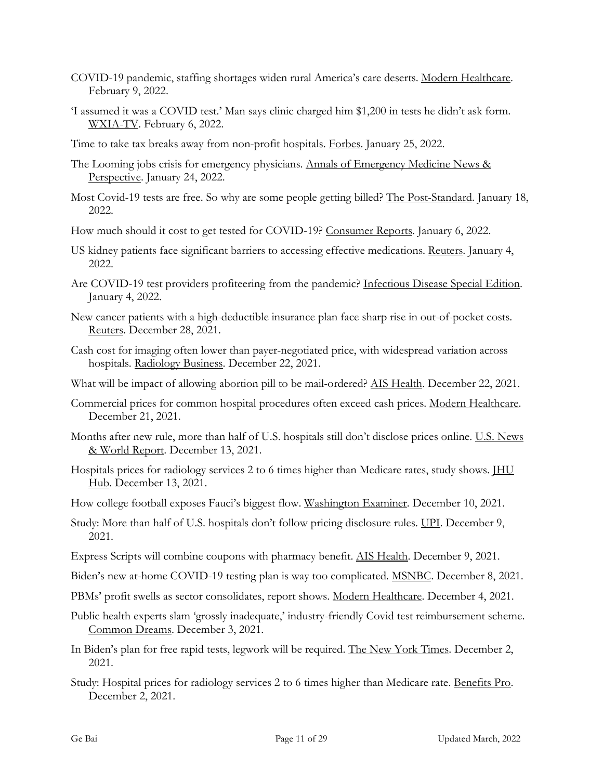- COVID-19 pandemic, staffing shortages widen rural America's care deserts. Modern Healthcare. February 9, 2022.
- 'I assumed it was a COVID test.' Man says clinic charged him \$1,200 in tests he didn't ask form. WXIA-TV. February 6, 2022.
- Time to take tax breaks away from non-profit hospitals. Forbes. January 25, 2022.
- The Looming jobs crisis for emergency physicians. Annals of Emergency Medicine News & Perspective. January 24, 2022.
- Most Covid-19 tests are free. So why are some people getting billed? The Post-Standard. January 18, 2022.
- How much should it cost to get tested for COVID-19? Consumer Reports. January 6, 2022.
- US kidney patients face significant barriers to accessing effective medications. Reuters. January 4, 2022.
- Are COVID-19 test providers profiteering from the pandemic? Infectious Disease Special Edition. January 4, 2022.
- New cancer patients with a high-deductible insurance plan face sharp rise in out-of-pocket costs. Reuters. December 28, 2021.
- Cash cost for imaging often lower than payer-negotiated price, with widespread variation across hospitals. Radiology Business. December 22, 2021.
- What will be impact of allowing abortion pill to be mail-ordered? AIS Health. December 22, 2021.
- Commercial prices for common hospital procedures often exceed cash prices. Modern Healthcare. December 21, 2021.
- Months after new rule, more than half of U.S. hospitals still don't disclose prices online. U.S. News & World Report. December 13, 2021.
- Hospitals prices for radiology services 2 to 6 times higher than Medicare rates, study shows. IHU Hub. December 13, 2021.
- How college football exposes Fauci's biggest flow. Washington Examiner. December 10, 2021.
- Study: More than half of U.S. hospitals don't follow pricing disclosure rules. <u>UPI</u>. December 9, 2021.
- Express Scripts will combine coupons with pharmacy benefit. AIS Health. December 9, 2021.
- Biden's new at-home COVID-19 testing plan is way too complicated. MSNBC. December 8, 2021.
- PBMs' profit swells as sector consolidates, report shows. Modern Healthcare. December 4, 2021.
- Public health experts slam 'grossly inadequate,' industry-friendly Covid test reimbursement scheme. Common Dreams. December 3, 2021.
- In Biden's plan for free rapid tests, legwork will be required. The New York Times. December 2, 2021.
- Study: Hospital prices for radiology services 2 to 6 times higher than Medicare rate. Benefits Pro. December 2, 2021.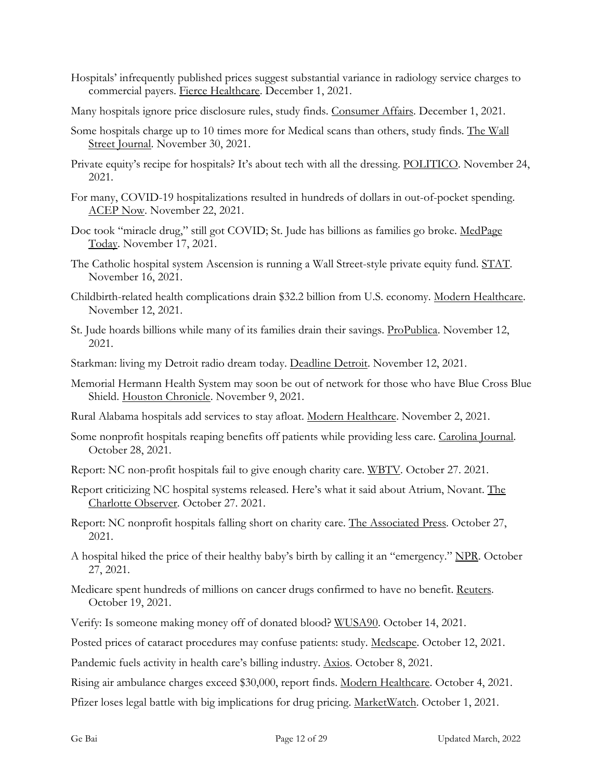- Hospitals' infrequently published prices suggest substantial variance in radiology service charges to commercial payers. Fierce Healthcare. December 1, 2021.
- Many hospitals ignore price disclosure rules, study finds. Consumer Affairs. December 1, 2021.
- Some hospitals charge up to 10 times more for Medical scans than others, study finds. The Wall Street Journal. November 30, 2021.
- Private equity's recipe for hospitals? It's about tech with all the dressing. POLITICO. November 24, 2021.
- For many, COVID-19 hospitalizations resulted in hundreds of dollars in out-of-pocket spending. ACEP Now. November 22, 2021.
- Doc took "miracle drug," still got COVID; St. Jude has billions as families go broke. MedPage Today. November 17, 2021.
- The Catholic hospital system Ascension is running a Wall Street-style private equity fund. STAT. November 16, 2021.
- Childbirth-related health complications drain \$32.2 billion from U.S. economy. Modern Healthcare. November 12, 2021.
- St. Jude hoards billions while many of its families drain their savings. ProPublica. November 12, 2021.
- Starkman: living my Detroit radio dream today. Deadline Detroit. November 12, 2021.
- Memorial Hermann Health System may soon be out of network for those who have Blue Cross Blue Shield. Houston Chronicle. November 9, 2021.
- Rural Alabama hospitals add services to stay afloat. Modern Healthcare. November 2, 2021.
- Some nonprofit hospitals reaping benefits off patients while providing less care. Carolina Journal. October 28, 2021.
- Report: NC non-profit hospitals fail to give enough charity care. WBTV. October 27. 2021.
- Report criticizing NC hospital systems released. Here's what it said about Atrium, Novant. The Charlotte Observer. October 27. 2021.
- Report: NC nonprofit hospitals falling short on charity care. The Associated Press. October 27, 2021.
- A hospital hiked the price of their healthy baby's birth by calling it an "emergency." NPR. October 27, 2021.
- Medicare spent hundreds of millions on cancer drugs confirmed to have no benefit. Reuters. October 19, 2021.
- Verify: Is someone making money off of donated blood? WUSA90. October 14, 2021.

Posted prices of cataract procedures may confuse patients: study. Medscape. October 12, 2021.

Pandemic fuels activity in health care's billing industry. Axios. October 8, 2021.

Rising air ambulance charges exceed \$30,000, report finds. Modern Healthcare. October 4, 2021.

Pfizer loses legal battle with big implications for drug pricing. MarketWatch. October 1, 2021.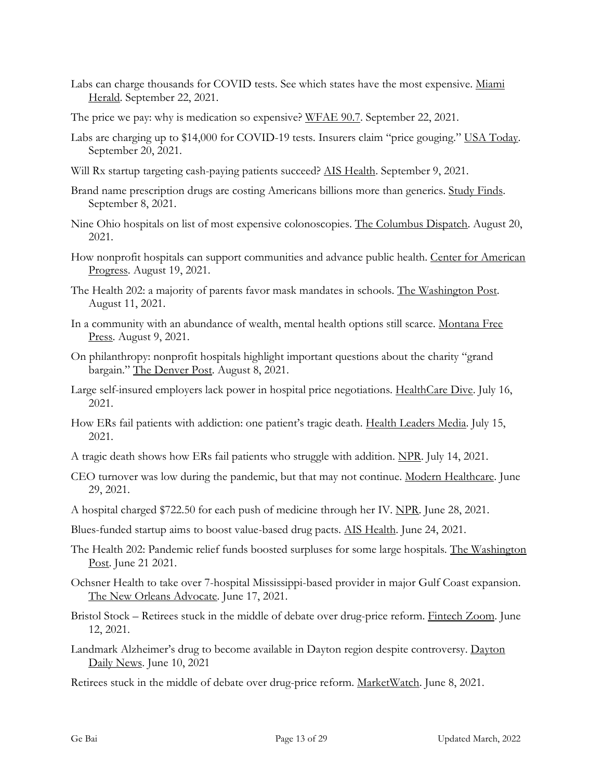- Labs can charge thousands for COVID tests. See which states have the most expensive. Miami Herald. September 22, 2021.
- The price we pay: why is medication so expensive? WFAE 90.7. September 22, 2021.
- Labs are charging up to \$14,000 for COVID-19 tests. Insurers claim "price gouging." USA Today. September 20, 2021.
- Will Rx startup targeting cash-paying patients succeed? AIS Health. September 9, 2021.
- Brand name prescription drugs are costing Americans billions more than generics. Study Finds. September 8, 2021.
- Nine Ohio hospitals on list of most expensive colonoscopies. The Columbus Dispatch. August 20, 2021.
- How nonprofit hospitals can support communities and advance public health. Center for American Progress. August 19, 2021.
- The Health 202: a majority of parents favor mask mandates in schools. The Washington Post. August 11, 2021.
- In a community with an abundance of wealth, mental health options still scarce. Montana Free Press. August 9, 2021.
- On philanthropy: nonprofit hospitals highlight important questions about the charity "grand bargain." The Denver Post. August 8, 2021.
- Large self-insured employers lack power in hospital price negotiations. HealthCare Dive. July 16, 2021.
- How ERs fail patients with addiction: one patient's tragic death. Health Leaders Media. July 15, 2021.
- A tragic death shows how ERs fail patients who struggle with addition. NPR. July 14, 2021.
- CEO turnover was low during the pandemic, but that may not continue. Modern Healthcare. June 29, 2021.
- A hospital charged \$722.50 for each push of medicine through her IV. NPR. June 28, 2021.
- Blues-funded startup aims to boost value-based drug pacts. AIS Health. June 24, 2021.
- The Health 202: Pandemic relief funds boosted surpluses for some large hospitals. The Washington Post. June 21 2021.
- Ochsner Health to take over 7-hospital Mississippi-based provider in major Gulf Coast expansion. The New Orleans Advocate. June 17, 2021.
- Bristol Stock Retirees stuck in the middle of debate over drug-price reform. Fintech Zoom. June 12, 2021.
- Landmark Alzheimer's drug to become available in Dayton region despite controversy. Dayton Daily News. June 10, 2021
- Retirees stuck in the middle of debate over drug-price reform. MarketWatch. June 8, 2021.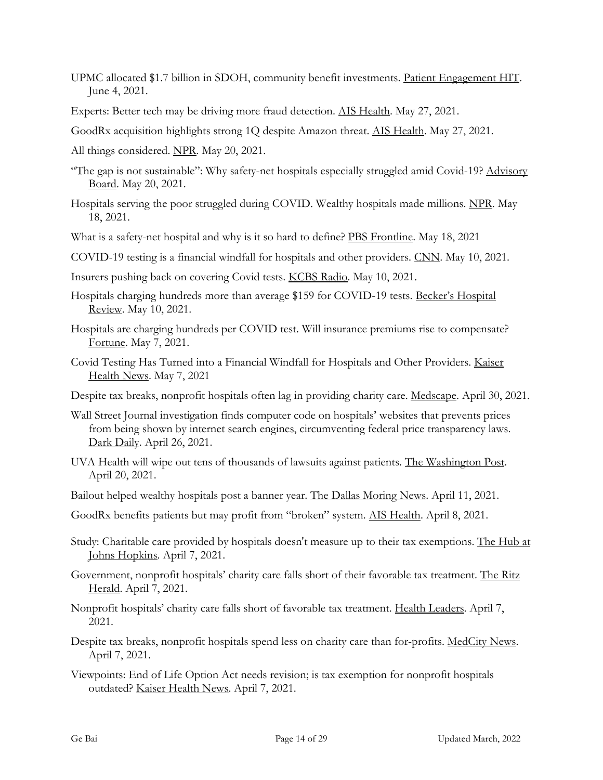- UPMC allocated \$1.7 billion in SDOH, community benefit investments. Patient Engagement HIT. June 4, 2021.
- Experts: Better tech may be driving more fraud detection. AIS Health. May 27, 2021.
- GoodRx acquisition highlights strong 1Q despite Amazon threat. AIS Health. May 27, 2021.
- All things considered. NPR. May 20, 2021.
- "The gap is not sustainable": Why safety-net hospitals especially struggled amid Covid-19? Advisory Board. May 20, 2021.
- Hospitals serving the poor struggled during COVID. Wealthy hospitals made millions. NPR. May 18, 2021.
- What is a safety-net hospital and why is it so hard to define? PBS Frontline. May 18, 2021
- COVID-19 testing is a financial windfall for hospitals and other providers. CNN. May 10, 2021.
- Insurers pushing back on covering Covid tests. KCBS Radio. May 10, 2021.
- Hospitals charging hundreds more than average \$159 for COVID-19 tests. Becker's Hospital Review. May 10, 2021.
- Hospitals are charging hundreds per COVID test. Will insurance premiums rise to compensate? Fortune. May 7, 2021.
- Covid Testing Has Turned into a Financial Windfall for Hospitals and Other Providers. Kaiser Health News. May 7, 2021
- Despite tax breaks, nonprofit hospitals often lag in providing charity care. Medscape. April 30, 2021.
- Wall Street Journal investigation finds computer code on hospitals' websites that prevents prices from being shown by internet search engines, circumventing federal price transparency laws. Dark Daily. April 26, 2021.
- UVA Health will wipe out tens of thousands of lawsuits against patients. The Washington Post. April 20, 2021.
- Bailout helped wealthy hospitals post a banner year. The Dallas Moring News. April 11, 2021.
- GoodRx benefits patients but may profit from "broken" system. AIS Health. April 8, 2021.
- Study: Charitable care provided by hospitals doesn't measure up to their tax exemptions. The Hub at Johns Hopkins. April 7, 2021.
- Government, nonprofit hospitals' charity care falls short of their favorable tax treatment. The Ritz Herald. April 7, 2021.
- Nonprofit hospitals' charity care falls short of favorable tax treatment. Health Leaders. April 7, 2021.
- Despite tax breaks, nonprofit hospitals spend less on charity care than for-profits. MedCity News. April 7, 2021.
- Viewpoints: End of Life Option Act needs revision; is tax exemption for nonprofit hospitals outdated? Kaiser Health News. April 7, 2021.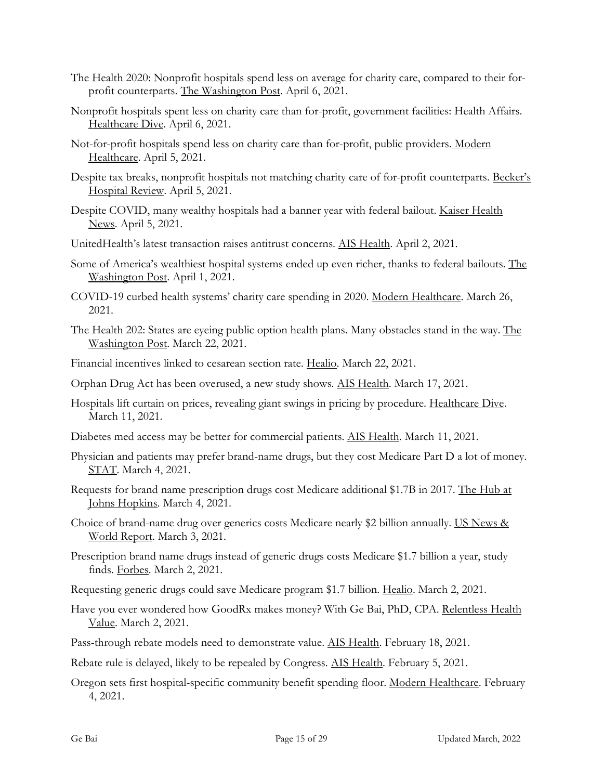- The Health 2020: Nonprofit hospitals spend less on average for charity care, compared to their forprofit counterparts. The Washington Post. April 6, 2021.
- Nonprofit hospitals spent less on charity care than for-profit, government facilities: Health Affairs. Healthcare Dive. April 6, 2021.
- Not-for-profit hospitals spend less on charity care than for-profit, public providers. Modern Healthcare. April 5, 2021.
- Despite tax breaks, nonprofit hospitals not matching charity care of for-profit counterparts. Becker's Hospital Review. April 5, 2021.
- Despite COVID, many wealthy hospitals had a banner year with federal bailout. Kaiser Health News. April 5, 2021.
- UnitedHealth's latest transaction raises antitrust concerns. AIS Health. April 2, 2021.
- Some of America's wealthiest hospital systems ended up even richer, thanks to federal bailouts. The Washington Post. April 1, 2021.
- COVID-19 curbed health systems' charity care spending in 2020. Modern Healthcare. March 26, 2021.
- The Health 202: States are eyeing public option health plans. Many obstacles stand in the way. The Washington Post. March 22, 2021.
- Financial incentives linked to cesarean section rate. Healio. March 22, 2021.
- Orphan Drug Act has been overused, a new study shows. AIS Health. March 17, 2021.
- Hospitals lift curtain on prices, revealing giant swings in pricing by procedure. Healthcare Dive. March 11, 2021.
- Diabetes med access may be better for commercial patients. AIS Health. March 11, 2021.
- Physician and patients may prefer brand-name drugs, but they cost Medicare Part D a lot of money. STAT. March 4, 2021.
- Requests for brand name prescription drugs cost Medicare additional \$1.7B in 2017. The Hub at Johns Hopkins. March 4, 2021.
- Choice of brand-name drug over generics costs Medicare nearly \$2 billion annually. US News & World Report. March 3, 2021.
- Prescription brand name drugs instead of generic drugs costs Medicare \$1.7 billion a year, study finds. Forbes. March 2, 2021.
- Requesting generic drugs could save Medicare program \$1.7 billion. Healio. March 2, 2021.
- Have you ever wondered how GoodRx makes money? With Ge Bai, PhD, CPA. Relentless Health Value. March 2, 2021.
- Pass-through rebate models need to demonstrate value. AIS Health. February 18, 2021.
- Rebate rule is delayed, likely to be repealed by Congress. AIS Health. February 5, 2021.
- Oregon sets first hospital-specific community benefit spending floor. Modern Healthcare. February 4, 2021.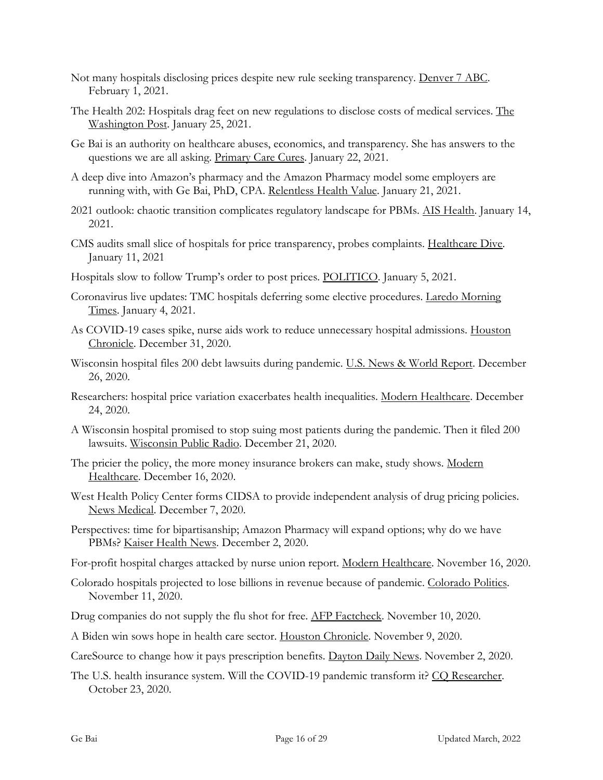- Not many hospitals disclosing prices despite new rule seeking transparency. Denver 7 ABC. February 1, 2021.
- The Health 202: Hospitals drag feet on new regulations to disclose costs of medical services. The Washington Post. January 25, 2021.
- Ge Bai is an authority on healthcare abuses, economics, and transparency. She has answers to the questions we are all asking. Primary Care Cures. January 22, 2021.
- A deep dive into Amazon's pharmacy and the Amazon Pharmacy model some employers are running with, with Ge Bai, PhD, CPA. Relentless Health Value. January 21, 2021.
- 2021 outlook: chaotic transition complicates regulatory landscape for PBMs. AIS Health. January 14, 2021.
- CMS audits small slice of hospitals for price transparency, probes complaints. Healthcare Dive. January 11, 2021
- Hospitals slow to follow Trump's order to post prices. POLITICO. January 5, 2021.
- Coronavirus live updates: TMC hospitals deferring some elective procedures. Laredo Morning Times. January 4, 2021.
- As COVID-19 cases spike, nurse aids work to reduce unnecessary hospital admissions. Houston Chronicle. December 31, 2020.
- Wisconsin hospital files 200 debt lawsuits during pandemic. U.S. News & World Report. December 26, 2020.
- Researchers: hospital price variation exacerbates health inequalities. Modern Healthcare. December 24, 2020.
- A Wisconsin hospital promised to stop suing most patients during the pandemic. Then it filed 200 lawsuits. Wisconsin Public Radio. December 21, 2020.
- The pricier the policy, the more money insurance brokers can make, study shows. Modern Healthcare. December 16, 2020.
- West Health Policy Center forms CIDSA to provide independent analysis of drug pricing policies. News Medical. December 7, 2020.
- Perspectives: time for bipartisanship; Amazon Pharmacy will expand options; why do we have PBMs? Kaiser Health News. December 2, 2020.
- For-profit hospital charges attacked by nurse union report. Modern Healthcare. November 16, 2020.
- Colorado hospitals projected to lose billions in revenue because of pandemic. Colorado Politics. November 11, 2020.
- Drug companies do not supply the flu shot for free. AFP Factcheck. November 10, 2020.
- A Biden win sows hope in health care sector. Houston Chronicle. November 9, 2020.
- CareSource to change how it pays prescription benefits. Dayton Daily News. November 2, 2020.
- The U.S. health insurance system. Will the COVID-19 pandemic transform it? CO Researcher. October 23, 2020.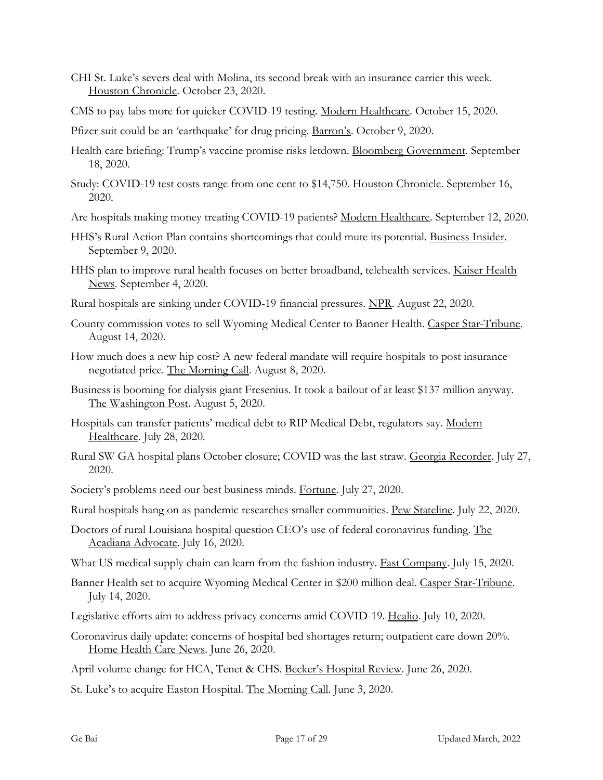- CHI St. Luke's severs deal with Molina, its second break with an insurance carrier this week. Houston Chronicle. October 23, 2020.
- CMS to pay labs more for quicker COVID-19 testing. Modern Healthcare. October 15, 2020.
- Pfizer suit could be an 'earthquake' for drug pricing. Barron's. October 9, 2020.
- Health care briefing: Trump's vaccine promise risks letdown. Bloomberg Government. September 18, 2020.
- Study: COVID-19 test costs range from one cent to \$14,750. Houston Chronicle. September 16, 2020.
- Are hospitals making money treating COVID-19 patients? Modern Healthcare. September 12, 2020.
- HHS's Rural Action Plan contains shortcomings that could mute its potential. Business Insider. September 9, 2020.
- HHS plan to improve rural health focuses on better broadband, telehealth services. Kaiser Health News. September 4, 2020.
- Rural hospitals are sinking under COVID-19 financial pressures. NPR. August 22, 2020.
- County commission votes to sell Wyoming Medical Center to Banner Health. Casper Star-Tribune. August 14, 2020.
- How much does a new hip cost? A new federal mandate will require hospitals to post insurance negotiated price. The Morning Call. August 8, 2020.
- Business is booming for dialysis giant Fresenius. It took a bailout of at least \$137 million anyway. The Washington Post. August 5, 2020.
- Hospitals can transfer patients' medical debt to RIP Medical Debt, regulators say. Modern Healthcare. July 28, 2020.
- Rural SW GA hospital plans October closure; COVID was the last straw. Georgia Recorder. July 27, 2020.
- Society's problems need our best business minds. Fortune. July 27, 2020.
- Rural hospitals hang on as pandemic researches smaller communities. Pew Stateline. July 22, 2020.
- Doctors of rural Louisiana hospital question CEO's use of federal coronavirus funding. The Acadiana Advocate. July 16, 2020.
- What US medical supply chain can learn from the fashion industry. **Fast Company**. July 15, 2020.
- Banner Health set to acquire Wyoming Medical Center in \$200 million deal. Casper Star-Tribune. July 14, 2020.
- Legislative efforts aim to address privacy concerns amid COVID-19. Healio. July 10, 2020.
- Coronavirus daily update: concerns of hospital bed shortages return; outpatient care down 20%. Home Health Care News. June 26, 2020.

April volume change for HCA, Tenet & CHS. Becker's Hospital Review. June 26, 2020.

St. Luke's to acquire Easton Hospital. The Morning Call. June 3, 2020.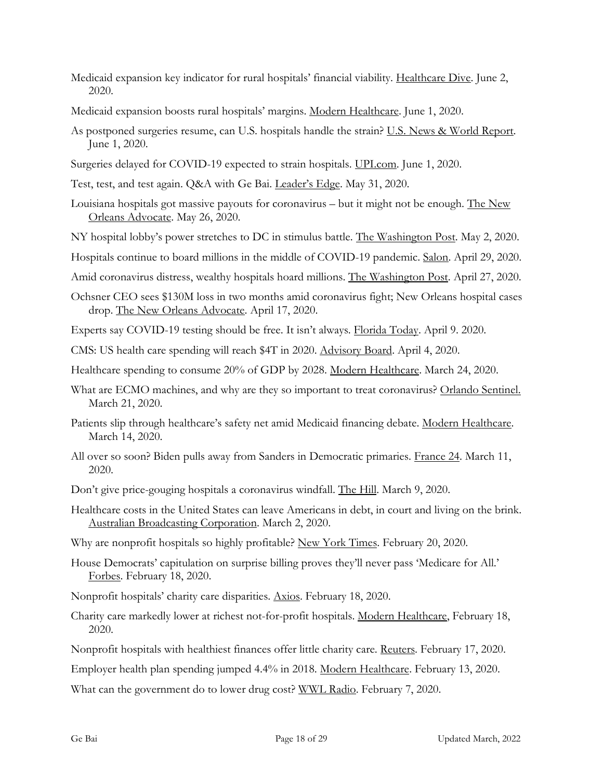- Medicaid expansion key indicator for rural hospitals' financial viability. Healthcare Dive. June 2, 2020.
- Medicaid expansion boosts rural hospitals' margins. Modern Healthcare. June 1, 2020.
- As postponed surgeries resume, can U.S. hospitals handle the strain? U.S. News & World Report. June 1, 2020.
- Surgeries delayed for COVID-19 expected to strain hospitals. UPI.com. June 1, 2020.
- Test, test, and test again. Q&A with Ge Bai. Leader's Edge. May 31, 2020.
- Louisiana hospitals got massive payouts for coronavirus but it might not be enough. The New Orleans Advocate. May 26, 2020.
- NY hospital lobby's power stretches to DC in stimulus battle. The Washington Post. May 2, 2020.
- Hospitals continue to board millions in the middle of COVID-19 pandemic. Salon. April 29, 2020.
- Amid coronavirus distress, wealthy hospitals hoard millions. The Washington Post. April 27, 2020.
- Ochsner CEO sees \$130M loss in two months amid coronavirus fight; New Orleans hospital cases drop. The New Orleans Advocate. April 17, 2020.
- Experts say COVID-19 testing should be free. It isn't always. Florida Today. April 9. 2020.
- CMS: US health care spending will reach \$4T in 2020. Advisory Board. April 4, 2020.
- Healthcare spending to consume 20% of GDP by 2028. Modern Healthcare. March 24, 2020.
- What are ECMO machines, and why are they so important to treat coronavirus? Orlando Sentinel. March 21, 2020.
- Patients slip through healthcare's safety net amid Medicaid financing debate. Modern Healthcare. March 14, 2020.
- All over so soon? Biden pulls away from Sanders in Democratic primaries. France 24. March 11, 2020.
- Don't give price-gouging hospitals a coronavirus windfall. The Hill. March 9, 2020.
- Healthcare costs in the United States can leave Americans in debt, in court and living on the brink. Australian Broadcasting Corporation. March 2, 2020.
- Why are nonprofit hospitals so highly profitable? New York Times. February 20, 2020.
- House Democrats' capitulation on surprise billing proves they'll never pass 'Medicare for All.' Forbes. February 18, 2020.
- Nonprofit hospitals' charity care disparities. Axios. February 18, 2020.
- Charity care markedly lower at richest not-for-profit hospitals. Modern Healthcare, February 18, 2020.
- Nonprofit hospitals with healthiest finances offer little charity care. Reuters. February 17, 2020.
- Employer health plan spending jumped 4.4% in 2018. Modern Healthcare. February 13, 2020.
- What can the government do to lower drug cost? WWL Radio. February 7, 2020.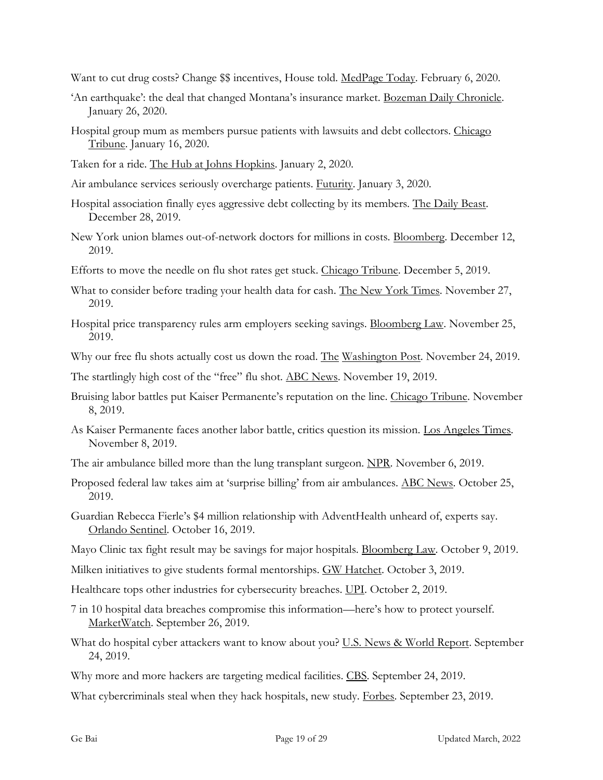Want to cut drug costs? Change incentives, House told. MedPage Today. February 6, 2020.

- 'An earthquake': the deal that changed Montana's insurance market. Bozeman Daily Chronicle. January 26, 2020.
- Hospital group mum as members pursue patients with lawsuits and debt collectors. Chicago Tribune. January 16, 2020.
- Taken for a ride. The Hub at Johns Hopkins. January 2, 2020.
- Air ambulance services seriously overcharge patients. Futurity. January 3, 2020.
- Hospital association finally eyes aggressive debt collecting by its members. The Daily Beast. December 28, 2019.
- New York union blames out-of-network doctors for millions in costs. Bloomberg. December 12, 2019.
- Efforts to move the needle on flu shot rates get stuck. Chicago Tribune. December 5, 2019.
- What to consider before trading your health data for cash. The New York Times. November 27, 2019.
- Hospital price transparency rules arm employers seeking savings. Bloomberg Law. November 25, 2019.
- Why our free flu shots actually cost us down the road. The Washington Post. November 24, 2019.

The startlingly high cost of the "free" flu shot. ABC News. November 19, 2019.

- Bruising labor battles put Kaiser Permanente's reputation on the line. Chicago Tribune. November 8, 2019.
- As Kaiser Permanente faces another labor battle, critics question its mission. Los Angeles Times. November 8, 2019.
- The air ambulance billed more than the lung transplant surgeon. NPR. November 6, 2019.
- Proposed federal law takes aim at 'surprise billing' from air ambulances. ABC News. October 25, 2019.
- Guardian Rebecca Fierle's \$4 million relationship with AdventHealth unheard of, experts say. Orlando Sentinel. October 16, 2019.
- Mayo Clinic tax fight result may be savings for major hospitals. Bloomberg Law. October 9, 2019.
- Milken initiatives to give students formal mentorships. GW Hatchet. October 3, 2019.
- Healthcare tops other industries for cybersecurity breaches. UPI. October 2, 2019.
- 7 in 10 hospital data breaches compromise this information—here's how to protect yourself. MarketWatch. September 26, 2019.
- What do hospital cyber attackers want to know about you? U.S. News & World Report. September 24, 2019.
- Why more and more hackers are targeting medical facilities. CBS. September 24, 2019.

What cybercriminals steal when they hack hospitals, new study. Forbes. September 23, 2019.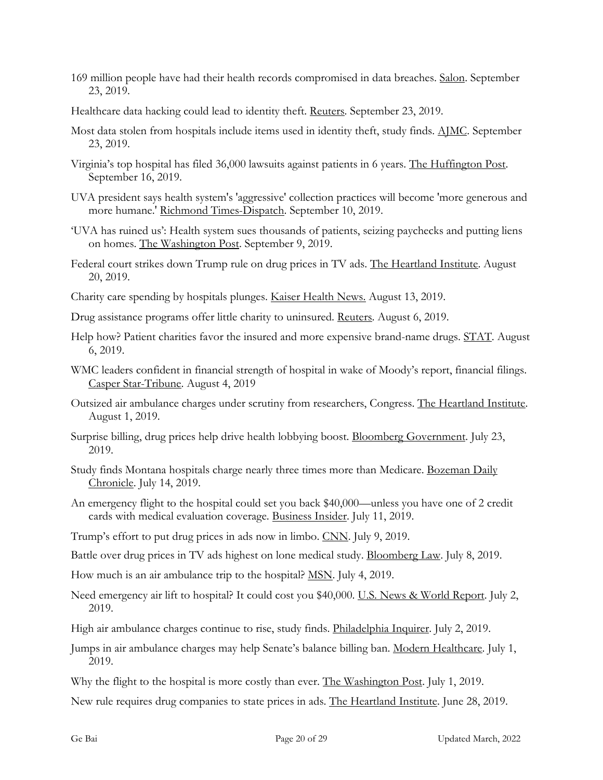- 169 million people have had their health records compromised in data breaches. Salon. September 23, 2019.
- Healthcare data hacking could lead to identity theft. Reuters. September 23, 2019.
- Most data stolen from hospitals include items used in identity theft, study finds. AJMC. September 23, 2019.
- Virginia's top hospital has filed 36,000 lawsuits against patients in 6 years. The Huffington Post. September 16, 2019.
- UVA president says health system's 'aggressive' collection practices will become 'more generous and more humane.' Richmond Times-Dispatch. September 10, 2019.
- 'UVA has ruined us': Health system sues thousands of patients, seizing paychecks and putting liens on homes. The Washington Post. September 9, 2019.
- Federal court strikes down Trump rule on drug prices in TV ads. The Heartland Institute. August 20, 2019.
- Charity care spending by hospitals plunges. Kaiser Health News. August 13, 2019.
- Drug assistance programs offer little charity to uninsured. Reuters. August 6, 2019.
- Help how? Patient charities favor the insured and more expensive brand-name drugs. STAT. August 6, 2019.
- WMC leaders confident in financial strength of hospital in wake of Moody's report, financial filings. Casper Star-Tribune. August 4, 2019
- Outsized air ambulance charges under scrutiny from researchers, Congress. The Heartland Institute. August 1, 2019.
- Surprise billing, drug prices help drive health lobbying boost. Bloomberg Government. July 23, 2019.
- Study finds Montana hospitals charge nearly three times more than Medicare. Bozeman Daily Chronicle. July 14, 2019.
- An emergency flight to the hospital could set you back \$40,000—unless you have one of 2 credit cards with medical evaluation coverage. Business Insider. July 11, 2019.
- Trump's effort to put drug prices in ads now in limbo. CNN. July 9, 2019.
- Battle over drug prices in TV ads highest on lone medical study. Bloomberg Law. July 8, 2019.
- How much is an air ambulance trip to the hospital? MSN. July 4, 2019.
- Need emergency air lift to hospital? It could cost you \$40,000. U.S. News & World Report. July 2, 2019.
- High air ambulance charges continue to rise, study finds. Philadelphia Inquirer. July 2, 2019.
- Jumps in air ambulance charges may help Senate's balance billing ban. Modern Healthcare. July 1, 2019.
- Why the flight to the hospital is more costly than ever. The Washington Post. July 1, 2019.
- New rule requires drug companies to state prices in ads. The Heartland Institute. June 28, 2019.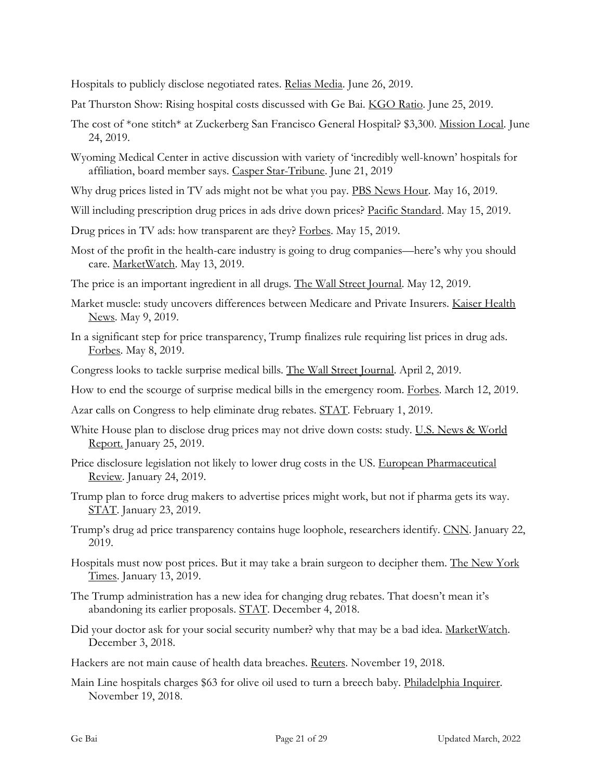Hospitals to publicly disclose negotiated rates. Relias Media. June 26, 2019.

Pat Thurston Show: Rising hospital costs discussed with Ge Bai. KGO Ratio. June 25, 2019.

- The cost of \*one stitch\* at Zuckerberg San Francisco General Hospital? \$3,300. Mission Local. June 24, 2019.
- Wyoming Medical Center in active discussion with variety of 'incredibly well-known' hospitals for affiliation, board member says. Casper Star-Tribune. June 21, 2019
- Why drug prices listed in TV ads might not be what you pay. PBS News Hour. May 16, 2019.
- Will including prescription drug prices in ads drive down prices? Pacific Standard. May 15, 2019.
- Drug prices in TV ads: how transparent are they? Forbes. May 15, 2019.
- Most of the profit in the health-care industry is going to drug companies—here's why you should care. MarketWatch. May 13, 2019.
- The price is an important ingredient in all drugs. The Wall Street Journal. May 12, 2019.
- Market muscle: study uncovers differences between Medicare and Private Insurers. Kaiser Health News. May 9, 2019.
- In a significant step for price transparency, Trump finalizes rule requiring list prices in drug ads. Forbes. May 8, 2019.
- Congress looks to tackle surprise medical bills. The Wall Street Journal. April 2, 2019.
- How to end the scourge of surprise medical bills in the emergency room. Forbes. March 12, 2019.
- Azar calls on Congress to help eliminate drug rebates. STAT. February 1, 2019.
- White House plan to disclose drug prices may not drive down costs: study. U.S. News & World Report. January 25, 2019.
- Price disclosure legislation not likely to lower drug costs in the US. European Pharmaceutical Review. January 24, 2019.
- Trump plan to force drug makers to advertise prices might work, but not if pharma gets its way. STAT. January 23, 2019.
- Trump's drug ad price transparency contains huge loophole, researchers identify. CNN. January 22, 2019.
- Hospitals must now post prices. But it may take a brain surgeon to decipher them. The New York Times. January 13, 2019.
- The Trump administration has a new idea for changing drug rebates. That doesn't mean it's abandoning its earlier proposals. STAT. December 4, 2018.
- Did your doctor ask for your social security number? why that may be a bad idea. MarketWatch. December 3, 2018.
- Hackers are not main cause of health data breaches. Reuters. November 19, 2018.
- Main Line hospitals charges \$63 for olive oil used to turn a breech baby. Philadelphia Inquirer. November 19, 2018.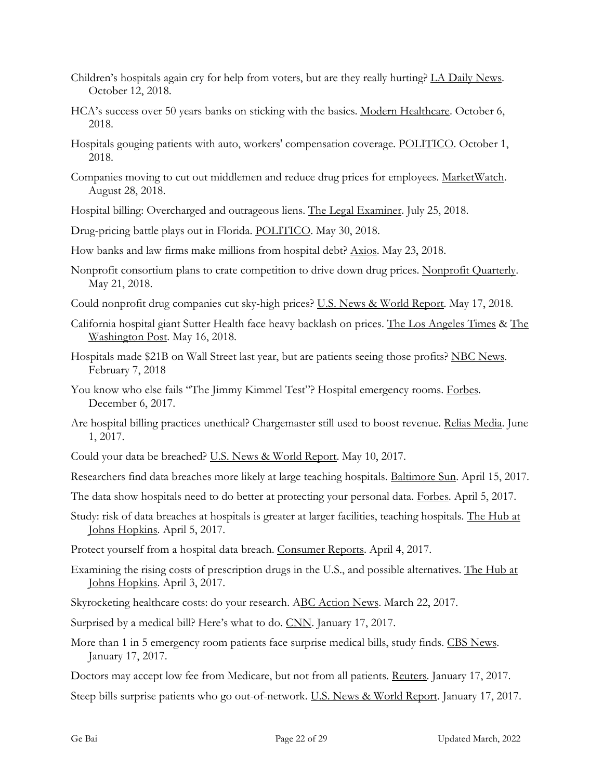- Children's hospitals again cry for help from voters, but are they really hurting? LA Daily News. October 12, 2018.
- HCA's success over 50 years banks on sticking with the basics. Modern Healthcare. October 6, 2018.
- Hospitals gouging patients with auto, workers' compensation coverage. POLITICO. October 1, 2018.
- Companies moving to cut out middlemen and reduce drug prices for employees. MarketWatch. August 28, 2018.
- Hospital billing: Overcharged and outrageous liens. The Legal Examiner. July 25, 2018.
- Drug-pricing battle plays out in Florida. POLITICO. May 30, 2018.
- How banks and law firms make millions from hospital debt? Axios. May 23, 2018.
- Nonprofit consortium plans to crate competition to drive down drug prices. Nonprofit Quarterly. May 21, 2018.
- Could nonprofit drug companies cut sky-high prices? U.S. News & World Report. May 17, 2018.
- California hospital giant Sutter Health face heavy backlash on prices. The Los Angeles Times & The Washington Post. May 16, 2018.
- Hospitals made \$21B on Wall Street last year, but are patients seeing those profits? NBC News. February 7, 2018
- You know who else fails "The Jimmy Kimmel Test"? Hospital emergency rooms. Forbes. December 6, 2017.
- Are hospital billing practices unethical? Chargemaster still used to boost revenue. Relias Media. June 1, 2017.
- Could your data be breached? U.S. News & World Report. May 10, 2017.
- Researchers find data breaches more likely at large teaching hospitals. Baltimore Sun. April 15, 2017.
- The data show hospitals need to do better at protecting your personal data. Forbes. April 5, 2017.
- Study: risk of data breaches at hospitals is greater at larger facilities, teaching hospitals. The Hub at Johns Hopkins. April 5, 2017.
- Protect yourself from a hospital data breach. Consumer Reports. April 4, 2017.
- Examining the rising costs of prescription drugs in the U.S., and possible alternatives. The Hub at Johns Hopkins. April 3, 2017.
- Skyrocketing healthcare costs: do your research. ABC Action News. March 22, 2017.
- Surprised by a medical bill? Here's what to do. CNN. January 17, 2017.
- More than 1 in 5 emergency room patients face surprise medical bills, study finds. CBS News. January 17, 2017.
- Doctors may accept low fee from Medicare, but not from all patients. Reuters. January 17, 2017.

Steep bills surprise patients who go out-of-network. U.S. News & World Report. January 17, 2017.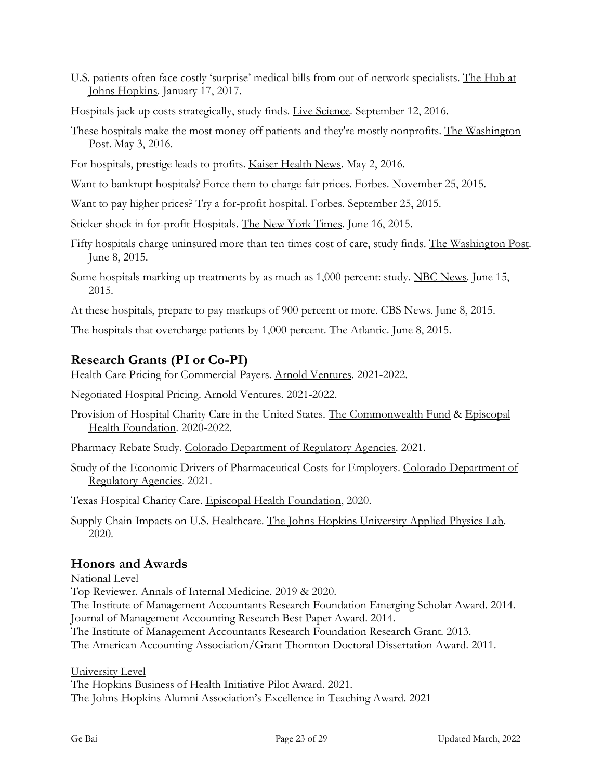U.S. patients often face costly 'surprise' medical bills from out-of-network specialists. The Hub at Johns Hopkins. January 17, 2017.

Hospitals jack up costs strategically, study finds. Live Science. September 12, 2016.

These hospitals make the most money off patients and they're mostly nonprofits. The Washington Post. May 3, 2016.

For hospitals, prestige leads to profits. Kaiser Health News. May 2, 2016.

Want to bankrupt hospitals? Force them to charge fair prices. Forbes. November 25, 2015.

Want to pay higher prices? Try a for-profit hospital. Forbes. September 25, 2015.

Sticker shock in for-profit Hospitals. The New York Times. June 16, 2015.

- Fifty hospitals charge uninsured more than ten times cost of care, study finds. The Washington Post. June 8, 2015.
- Some hospitals marking up treatments by as much as 1,000 percent: study. NBC News. June 15, 2015.

At these hospitals, prepare to pay markups of 900 percent or more. CBS News. June 8, 2015.

The hospitals that overcharge patients by 1,000 percent. The Atlantic. June 8, 2015.

# **Research Grants (PI or Co-PI)**

Health Care Pricing for Commercial Payers. Arnold Ventures. 2021-2022.

Negotiated Hospital Pricing. Arnold Ventures. 2021-2022.

Provision of Hospital Charity Care in the United States. The Commonwealth Fund & Episcopal Health Foundation. 2020-2022.

Pharmacy Rebate Study. Colorado Department of Regulatory Agencies. 2021.

Study of the Economic Drivers of Pharmaceutical Costs for Employers. Colorado Department of Regulatory Agencies. 2021.

Texas Hospital Charity Care. Episcopal Health Foundation, 2020.

Supply Chain Impacts on U.S. Healthcare. The Johns Hopkins University Applied Physics Lab. 2020.

# **Honors and Awards**

National Level

Top Reviewer. Annals of Internal Medicine. 2019 & 2020.

The Institute of Management Accountants Research Foundation Emerging Scholar Award. 2014. Journal of Management Accounting Research Best Paper Award. 2014.

The Institute of Management Accountants Research Foundation Research Grant. 2013.

The American Accounting Association/Grant Thornton Doctoral Dissertation Award. 2011.

University Level

The Hopkins Business of Health Initiative Pilot Award. 2021. The Johns Hopkins Alumni Association's Excellence in Teaching Award. 2021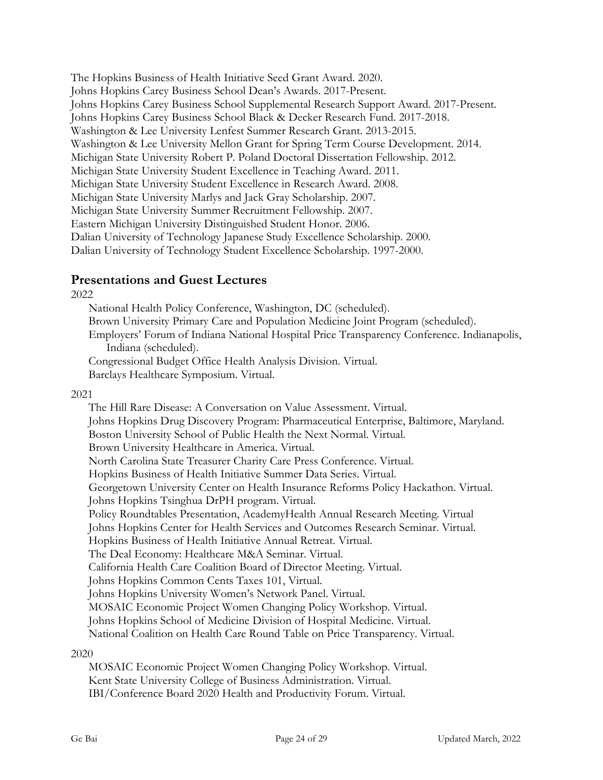The Hopkins Business of Health Initiative Seed Grant Award. 2020. Johns Hopkins Carey Business School Dean's Awards. 2017-Present. Johns Hopkins Carey Business School Supplemental Research Support Award. 2017-Present. Johns Hopkins Carey Business School Black & Decker Research Fund. 2017-2018. Washington & Lee University Lenfest Summer Research Grant. 2013-2015. Washington & Lee University Mellon Grant for Spring Term Course Development. 2014. Michigan State University Robert P. Poland Doctoral Dissertation Fellowship. 2012. Michigan State University Student Excellence in Teaching Award. 2011. Michigan State University Student Excellence in Research Award. 2008. Michigan State University Marlys and Jack Gray Scholarship. 2007. Michigan State University Summer Recruitment Fellowship. 2007. Eastern Michigan University Distinguished Student Honor. 2006. Dalian University of Technology Japanese Study Excellence Scholarship. 2000. Dalian University of Technology Student Excellence Scholarship. 1997-2000.

## **Presentations and Guest Lectures**

2022

National Health Policy Conference, Washington, DC (scheduled). Brown University Primary Care and Population Medicine Joint Program (scheduled). Employers' Forum of Indiana National Hospital Price Transparency Conference. Indianapolis, Indiana (scheduled). Congressional Budget Office Health Analysis Division. Virtual. Barclays Healthcare Symposium. Virtual.

#### 2021

The Hill Rare Disease: A Conversation on Value Assessment. Virtual. Johns Hopkins Drug Discovery Program: Pharmaceutical Enterprise, Baltimore, Maryland. Boston University School of Public Health the Next Normal. Virtual. Brown University Healthcare in America. Virtual. North Carolina State Treasurer Charity Care Press Conference. Virtual. Hopkins Business of Health Initiative Summer Data Series. Virtual. Georgetown University Center on Health Insurance Reforms Policy Hackathon. Virtual. Johns Hopkins Tsinghua DrPH program. Virtual. Policy Roundtables Presentation, AcademyHealth Annual Research Meeting. Virtual Johns Hopkins Center for Health Services and Outcomes Research Seminar. Virtual. Hopkins Business of Health Initiative Annual Retreat. Virtual. The Deal Economy: Healthcare M&A Seminar. Virtual. California Health Care Coalition Board of Director Meeting. Virtual. Johns Hopkins Common Cents Taxes 101, Virtual. Johns Hopkins University Women's Network Panel. Virtual. MOSAIC Economic Project Women Changing Policy Workshop. Virtual. Johns Hopkins School of Medicine Division of Hospital Medicine. Virtual. National Coalition on Health Care Round Table on Price Transparency. Virtual. 2020

MOSAIC Economic Project Women Changing Policy Workshop. Virtual. Kent State University College of Business Administration. Virtual. IBI/Conference Board 2020 Health and Productivity Forum. Virtual.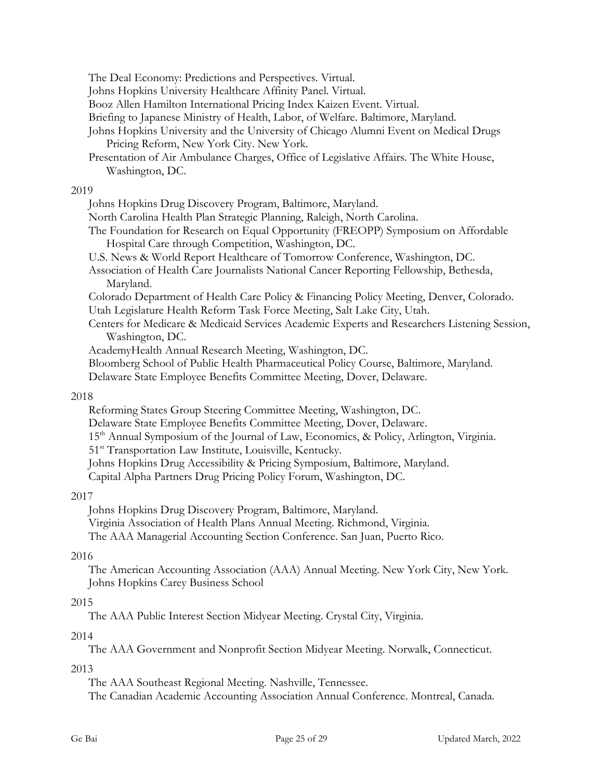The Deal Economy: Predictions and Perspectives. Virtual.

Johns Hopkins University Healthcare Affinity Panel. Virtual.

Booz Allen Hamilton International Pricing Index Kaizen Event. Virtual.

Briefing to Japanese Ministry of Health, Labor, of Welfare. Baltimore, Maryland.

- Johns Hopkins University and the University of Chicago Alumni Event on Medical Drugs Pricing Reform, New York City. New York.
- Presentation of Air Ambulance Charges, Office of Legislative Affairs. The White House, Washington, DC.

#### 2019

Johns Hopkins Drug Discovery Program, Baltimore, Maryland.

- North Carolina Health Plan Strategic Planning, Raleigh, North Carolina.
- The Foundation for Research on Equal Opportunity (FREOPP) Symposium on Affordable Hospital Care through Competition, Washington, DC.
- U.S. News & World Report Healthcare of Tomorrow Conference, Washington, DC.
- Association of Health Care Journalists National Cancer Reporting Fellowship, Bethesda, Maryland.

Colorado Department of Health Care Policy & Financing Policy Meeting, Denver, Colorado. Utah Legislature Health Reform Task Force Meeting, Salt Lake City, Utah.

Centers for Medicare & Medicaid Services Academic Experts and Researchers Listening Session, Washington, DC.

AcademyHealth Annual Research Meeting, Washington, DC.

Bloomberg School of Public Health Pharmaceutical Policy Course, Baltimore, Maryland.

Delaware State Employee Benefits Committee Meeting, Dover, Delaware.

#### 2018

Reforming States Group Steering Committee Meeting, Washington, DC.

Delaware State Employee Benefits Committee Meeting, Dover, Delaware.

- 15<sup>th</sup> Annual Symposium of the Journal of Law, Economics, & Policy, Arlington, Virginia.
- 51<sup>st</sup> Transportation Law Institute, Louisville, Kentucky.
- Johns Hopkins Drug Accessibility & Pricing Symposium, Baltimore, Maryland.

Capital Alpha Partners Drug Pricing Policy Forum, Washington, DC.

### 2017

Johns Hopkins Drug Discovery Program, Baltimore, Maryland. Virginia Association of Health Plans Annual Meeting. Richmond, Virginia. The AAA Managerial Accounting Section Conference. San Juan, Puerto Rico.

### 2016

The American Accounting Association (AAA) Annual Meeting. New York City, New York. Johns Hopkins Carey Business School

### 2015

The AAA Public Interest Section Midyear Meeting. Crystal City, Virginia.

### 2014

The AAA Government and Nonprofit Section Midyear Meeting. Norwalk, Connecticut.

### 2013

The AAA Southeast Regional Meeting. Nashville, Tennessee.

The Canadian Academic Accounting Association Annual Conference. Montreal, Canada.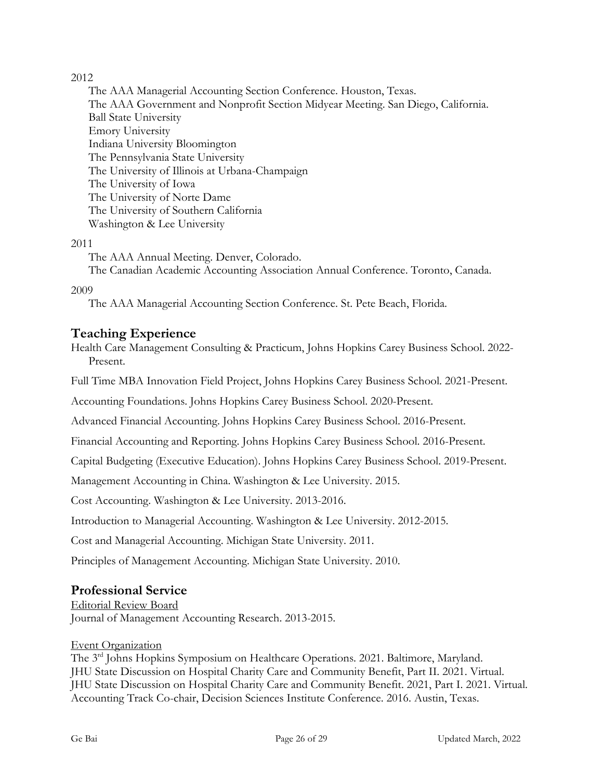### 2012

The AAA Managerial Accounting Section Conference. Houston, Texas. The AAA Government and Nonprofit Section Midyear Meeting. San Diego, California. Ball State University Emory University Indiana University Bloomington The Pennsylvania State University The University of Illinois at Urbana-Champaign The University of Iowa The University of Norte Dame The University of Southern California Washington & Lee University

### 2011

The AAA Annual Meeting. Denver, Colorado. The Canadian Academic Accounting Association Annual Conference. Toronto, Canada.

### 2009

The AAA Managerial Accounting Section Conference. St. Pete Beach, Florida.

# **Teaching Experience**

Health Care Management Consulting & Practicum, Johns Hopkins Carey Business School. 2022- Present.

Full Time MBA Innovation Field Project, Johns Hopkins Carey Business School. 2021-Present.

Accounting Foundations. Johns Hopkins Carey Business School. 2020-Present.

Advanced Financial Accounting. Johns Hopkins Carey Business School. 2016-Present.

Financial Accounting and Reporting. Johns Hopkins Carey Business School. 2016-Present.

Capital Budgeting (Executive Education). Johns Hopkins Carey Business School. 2019-Present.

Management Accounting in China. Washington & Lee University. 2015.

Cost Accounting. Washington & Lee University. 2013-2016.

Introduction to Managerial Accounting. Washington & Lee University. 2012-2015.

Cost and Managerial Accounting. Michigan State University. 2011.

Principles of Management Accounting. Michigan State University. 2010.

# **Professional Service**

Editorial Review Board

Journal of Management Accounting Research. 2013-2015.

### Event Organization

The 3rd Johns Hopkins Symposium on Healthcare Operations. 2021. Baltimore, Maryland. JHU State Discussion on Hospital Charity Care and Community Benefit, Part II. 2021. Virtual. JHU State Discussion on Hospital Charity Care and Community Benefit. 2021, Part I. 2021. Virtual. Accounting Track Co-chair, Decision Sciences Institute Conference. 2016. Austin, Texas.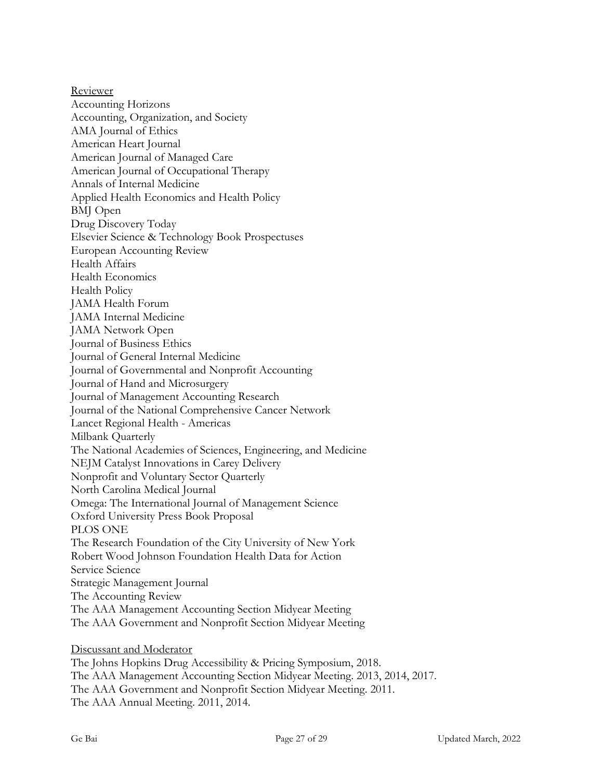Reviewer Accounting Horizons Accounting, Organization, and Society AMA Journal of Ethics American Heart Journal American Journal of Managed Care American Journal of Occupational Therapy Annals of Internal Medicine Applied Health Economics and Health Policy BMJ Open Drug Discovery Today Elsevier Science & Technology Book Prospectuses European Accounting Review Health Affairs Health Economics Health Policy JAMA Health Forum JAMA Internal Medicine JAMA Network Open Journal of Business Ethics Journal of General Internal Medicine Journal of Governmental and Nonprofit Accounting Journal of Hand and Microsurgery Journal of Management Accounting Research Journal of the National Comprehensive Cancer Network Lancet Regional Health - Americas Milbank Quarterly The National Academies of Sciences, Engineering, and Medicine NEJM Catalyst Innovations in Carey Delivery Nonprofit and Voluntary Sector Quarterly North Carolina Medical Journal Omega: The International Journal of Management Science Oxford University Press Book Proposal PLOS ONE The Research Foundation of the City University of New York Robert Wood Johnson Foundation Health Data for Action Service Science Strategic Management Journal The Accounting Review The AAA Management Accounting Section Midyear Meeting The AAA Government and Nonprofit Section Midyear Meeting Discussant and Moderator

The Johns Hopkins Drug Accessibility & Pricing Symposium, 2018. The AAA Management Accounting Section Midyear Meeting. 2013, 2014, 2017. The AAA Government and Nonprofit Section Midyear Meeting. 2011. The AAA Annual Meeting. 2011, 2014.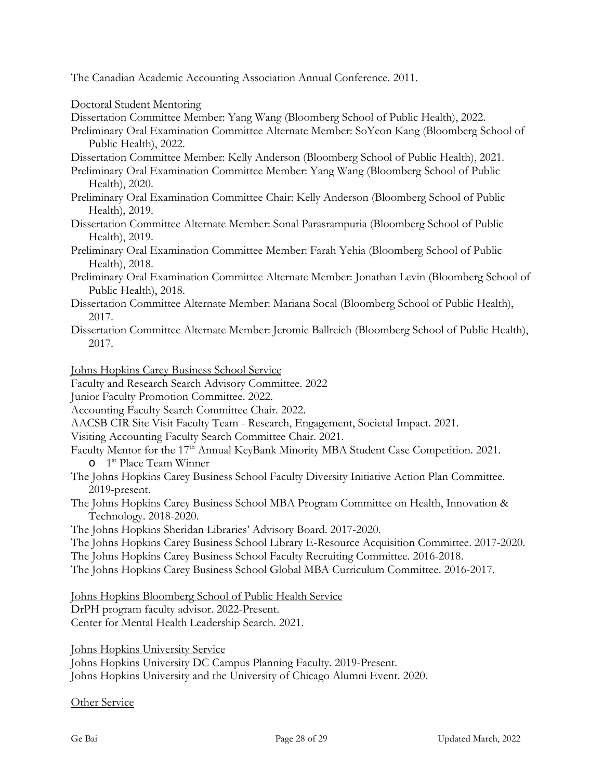The Canadian Academic Accounting Association Annual Conference. 2011.

Doctoral Student Mentoring

Dissertation Committee Member: Yang Wang (Bloomberg School of Public Health), 2022.

Preliminary Oral Examination Committee Alternate Member: SoYeon Kang (Bloomberg School of Public Health), 2022.

Dissertation Committee Member: Kelly Anderson (Bloomberg School of Public Health), 2021.

Preliminary Oral Examination Committee Member: Yang Wang (Bloomberg School of Public Health), 2020.

Preliminary Oral Examination Committee Chair: Kelly Anderson (Bloomberg School of Public Health), 2019.

Dissertation Committee Alternate Member: Sonal Parasrampuria (Bloomberg School of Public Health), 2019.

Preliminary Oral Examination Committee Member: Farah Yehia (Bloomberg School of Public Health), 2018.

- Preliminary Oral Examination Committee Alternate Member: Jonathan Levin (Bloomberg School of Public Health), 2018.
- Dissertation Committee Alternate Member: Mariana Socal (Bloomberg School of Public Health), 2017.
- Dissertation Committee Alternate Member: Jeromie Ballreich (Bloomberg School of Public Health), 2017.

Johns Hopkins Carey Business School Service

Faculty and Research Search Advisory Committee. 2022

Junior Faculty Promotion Committee. 2022.

Accounting Faculty Search Committee Chair. 2022.

AACSB CIR Site Visit Faculty Team - Research, Engagement, Societal Impact. 2021.

Visiting Accounting Faculty Search Committee Chair. 2021.

- Faculty Mentor for the 17<sup>th</sup> Annual KeyBank Minority MBA Student Case Competition. 2021. o 1st Place Team Winner
- The Johns Hopkins Carey Business School Faculty Diversity Initiative Action Plan Committee. 2019-present.
- The Johns Hopkins Carey Business School MBA Program Committee on Health, Innovation & Technology. 2018-2020.

The Johns Hopkins Sheridan Libraries' Advisory Board. 2017-2020.

The Johns Hopkins Carey Business School Library E-Resource Acquisition Committee. 2017-2020.

The Johns Hopkins Carey Business School Faculty Recruiting Committee. 2016-2018.

The Johns Hopkins Carey Business School Global MBA Curriculum Committee. 2016-2017.

Johns Hopkins Bloomberg School of Public Health Service

DrPH program faculty advisor. 2022-Present.

Center for Mental Health Leadership Search. 2021.

Johns Hopkins University Service

Johns Hopkins University DC Campus Planning Faculty. 2019-Present. Johns Hopkins University and the University of Chicago Alumni Event. 2020.

Other Service